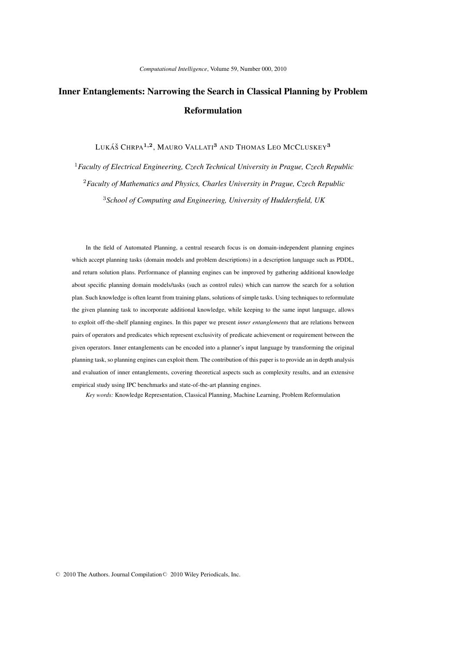# Inner Entanglements: Narrowing the Search in Classical Planning by Problem Reformulation

Lukáš Chrpa<sup>1,2</sup>, Mauro Vallati<sup>3</sup> and Thomas Leo McCluskey<sup>3</sup>

<sup>1</sup>*Faculty of Electrical Engineering, Czech Technical University in Prague, Czech Republic* <sup>2</sup>*Faculty of Mathematics and Physics, Charles University in Prague, Czech Republic* <sup>3</sup>*School of Computing and Engineering, University of Huddersfield, UK*

In the field of Automated Planning, a central research focus is on domain-independent planning engines which accept planning tasks (domain models and problem descriptions) in a description language such as PDDL, and return solution plans. Performance of planning engines can be improved by gathering additional knowledge about specific planning domain models/tasks (such as control rules) which can narrow the search for a solution plan. Such knowledge is often learnt from training plans, solutions of simple tasks. Using techniques to reformulate the given planning task to incorporate additional knowledge, while keeping to the same input language, allows to exploit off-the-shelf planning engines. In this paper we present *inner entanglements* that are relations between pairs of operators and predicates which represent exclusivity of predicate achievement or requirement between the given operators. Inner entanglements can be encoded into a planner's input language by transforming the original planning task, so planning engines can exploit them. The contribution of this paper is to provide an in depth analysis and evaluation of inner entanglements, covering theoretical aspects such as complexity results, and an extensive empirical study using IPC benchmarks and state-of-the-art planning engines.

*Key words:* Knowledge Representation, Classical Planning, Machine Learning, Problem Reformulation

 $© 2010$  The Authors. Journal Compilation  $© 2010$  Wiley Periodicals, Inc.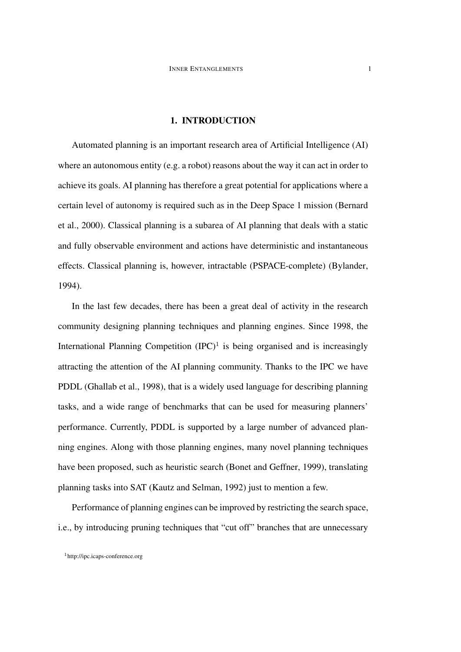### 1. INTRODUCTION

Automated planning is an important research area of Artificial Intelligence (AI) where an autonomous entity (e.g. a robot) reasons about the way it can act in order to achieve its goals. AI planning has therefore a great potential for applications where a certain level of autonomy is required such as in the Deep Space 1 mission (Bernard et al., 2000). Classical planning is a subarea of AI planning that deals with a static and fully observable environment and actions have deterministic and instantaneous effects. Classical planning is, however, intractable (PSPACE-complete) (Bylander, 1994).

In the last few decades, there has been a great deal of activity in the research community designing planning techniques and planning engines. Since 1998, the International Planning Competition  $(IPC)^1$  is being organised and is increasingly attracting the attention of the AI planning community. Thanks to the IPC we have PDDL (Ghallab et al., 1998), that is a widely used language for describing planning tasks, and a wide range of benchmarks that can be used for measuring planners' performance. Currently, PDDL is supported by a large number of advanced planning engines. Along with those planning engines, many novel planning techniques have been proposed, such as heuristic search (Bonet and Geffner, 1999), translating planning tasks into SAT (Kautz and Selman, 1992) just to mention a few.

Performance of planning engines can be improved by restricting the search space, i.e., by introducing pruning techniques that "cut off" branches that are unnecessary

<sup>1</sup>http://ipc.icaps-conference.org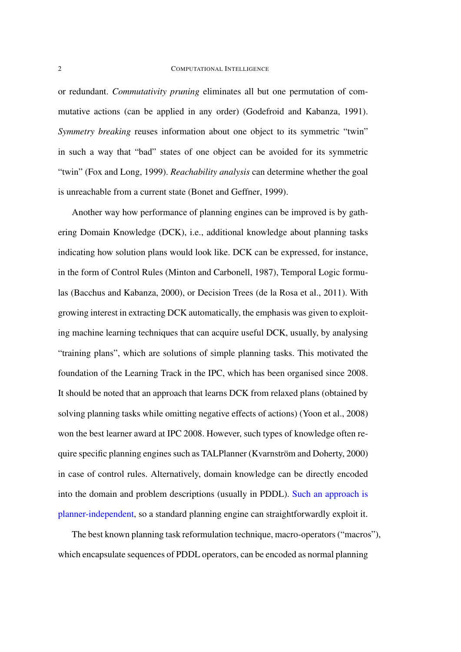or redundant. *Commutativity pruning* eliminates all but one permutation of commutative actions (can be applied in any order) (Godefroid and Kabanza, 1991). *Symmetry breaking* reuses information about one object to its symmetric "twin" in such a way that "bad" states of one object can be avoided for its symmetric "twin" (Fox and Long, 1999). *Reachability analysis* can determine whether the goal is unreachable from a current state (Bonet and Geffner, 1999).

Another way how performance of planning engines can be improved is by gathering Domain Knowledge (DCK), i.e., additional knowledge about planning tasks indicating how solution plans would look like. DCK can be expressed, for instance, in the form of Control Rules (Minton and Carbonell, 1987), Temporal Logic formulas (Bacchus and Kabanza, 2000), or Decision Trees (de la Rosa et al., 2011). With growing interest in extracting DCK automatically, the emphasis was given to exploiting machine learning techniques that can acquire useful DCK, usually, by analysing "training plans", which are solutions of simple planning tasks. This motivated the foundation of the Learning Track in the IPC, which has been organised since 2008. It should be noted that an approach that learns DCK from relaxed plans (obtained by solving planning tasks while omitting negative effects of actions) (Yoon et al., 2008) won the best learner award at IPC 2008. However, such types of knowledge often require specific planning engines such as TALPlanner (Kvarnström and Doherty,  $2000$ ) in case of control rules. Alternatively, domain knowledge can be directly encoded into the domain and problem descriptions (usually in PDDL). Such an approach is planner-independent, so a standard planning engine can straightforwardly exploit it.

The best known planning task reformulation technique, macro-operators ("macros"), which encapsulate sequences of PDDL operators, can be encoded as normal planning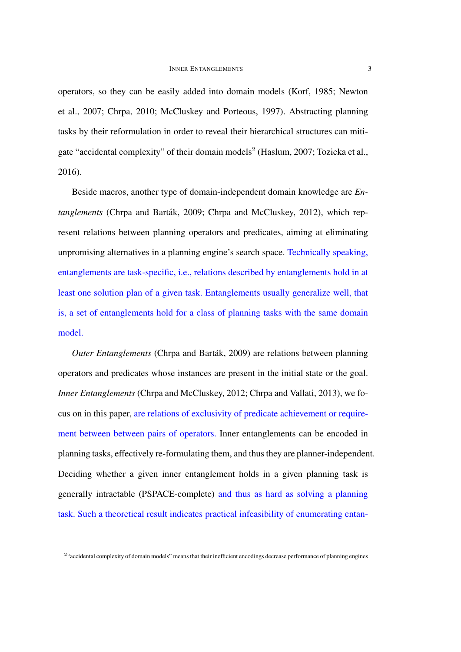operators, so they can be easily added into domain models (Korf, 1985; Newton et al., 2007; Chrpa, 2010; McCluskey and Porteous, 1997). Abstracting planning tasks by their reformulation in order to reveal their hierarchical structures can mitigate "accidental complexity" of their domain models<sup>2</sup> (Haslum, 2007; Tozicka et al., 2016).

Beside macros, another type of domain-independent domain knowledge are *Entanglements* (Chrpa and Barták, 2009; Chrpa and McCluskey, 2012), which represent relations between planning operators and predicates, aiming at eliminating unpromising alternatives in a planning engine's search space. Technically speaking, entanglements are task-specific, i.e., relations described by entanglements hold in at least one solution plan of a given task. Entanglements usually generalize well, that is, a set of entanglements hold for a class of planning tasks with the same domain model.

*Outer Entanglements* (Chrpa and Barták, 2009) are relations between planning operators and predicates whose instances are present in the initial state or the goal. *Inner Entanglements* (Chrpa and McCluskey, 2012; Chrpa and Vallati, 2013), we focus on in this paper, are relations of exclusivity of predicate achievement or requirement between between pairs of operators. Inner entanglements can be encoded in planning tasks, effectively re-formulating them, and thus they are planner-independent. Deciding whether a given inner entanglement holds in a given planning task is generally intractable (PSPACE-complete) and thus as hard as solving a planning task. Such a theoretical result indicates practical infeasibility of enumerating entan-

<sup>&</sup>lt;sup>2</sup> accidental complexity of domain models" means that their inefficient encodings decrease performance of planning engines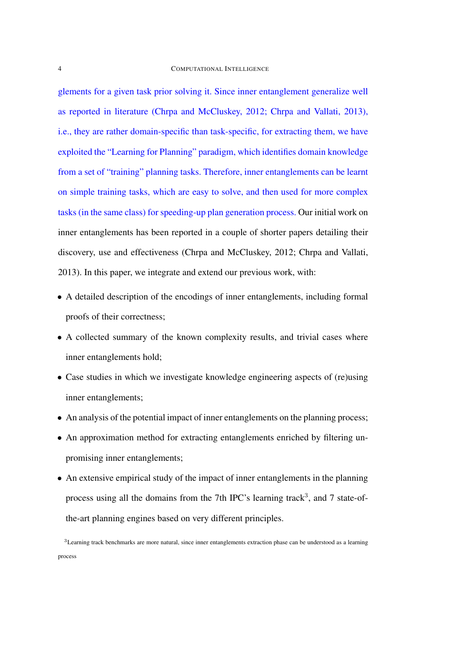glements for a given task prior solving it. Since inner entanglement generalize well as reported in literature (Chrpa and McCluskey, 2012; Chrpa and Vallati, 2013), i.e., they are rather domain-specific than task-specific, for extracting them, we have exploited the "Learning for Planning" paradigm, which identifies domain knowledge from a set of "training" planning tasks. Therefore, inner entanglements can be learnt on simple training tasks, which are easy to solve, and then used for more complex tasks (in the same class) for speeding-up plan generation process. Our initial work on inner entanglements has been reported in a couple of shorter papers detailing their discovery, use and effectiveness (Chrpa and McCluskey, 2012; Chrpa and Vallati, 2013). In this paper, we integrate and extend our previous work, with:

- A detailed description of the encodings of inner entanglements, including formal proofs of their correctness;
- A collected summary of the known complexity results, and trivial cases where inner entanglements hold;
- Case studies in which we investigate knowledge engineering aspects of (re)using inner entanglements;
- An analysis of the potential impact of inner entanglements on the planning process;
- An approximation method for extracting entanglements enriched by filtering unpromising inner entanglements;
- An extensive empirical study of the impact of inner entanglements in the planning process using all the domains from the 7th IPC's learning track<sup>3</sup>, and 7 state-ofthe-art planning engines based on very different principles.

<sup>3</sup>Learning track benchmarks are more natural, since inner entanglements extraction phase can be understood as a learning process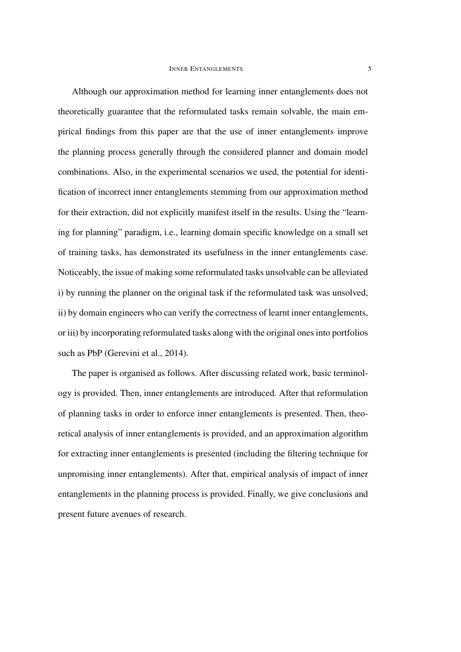### **INNER ENTANGLEMENTS** 5

Although our approximation method for learning inner entanglements does not theoretically guarantee that the reformulated tasks remain solvable, the main empirical findings from this paper are that the use of inner entanglements improve the planning process generally through the considered planner and domain model combinations. Also, in the experimental scenarios we used, the potential for identification of incorrect inner entanglements stemming from our approximation method for their extraction, did not explicitly manifest itself in the results. Using the "learning for planning" paradigm, i.e., learning domain specific knowledge on a small set of training tasks, has demonstrated its usefulness in the inner entanglements case. Noticeably, the issue of making some reformulated tasks unsolvable can be alleviated i) by running the planner on the original task if the reformulated task was unsolved, ii) by domain engineers who can verify the correctness of learnt inner entanglements, or iii) by incorporating reformulated tasks along with the original ones into portfolios such as PbP (Gerevini et al., 2014).

The paper is organised as follows. After discussing related work, basic terminology is provided. Then, inner entanglements are introduced. After that reformulation of planning tasks in order to enforce inner entanglements is presented. Then, theoretical analysis of inner entanglements is provided, and an approximation algorithm for extracting inner entanglements is presented (including the filtering technique for unpromising inner entanglements). After that, empirical analysis of impact of inner entanglements in the planning process is provided. Finally, we give conclusions and present future avenues of research.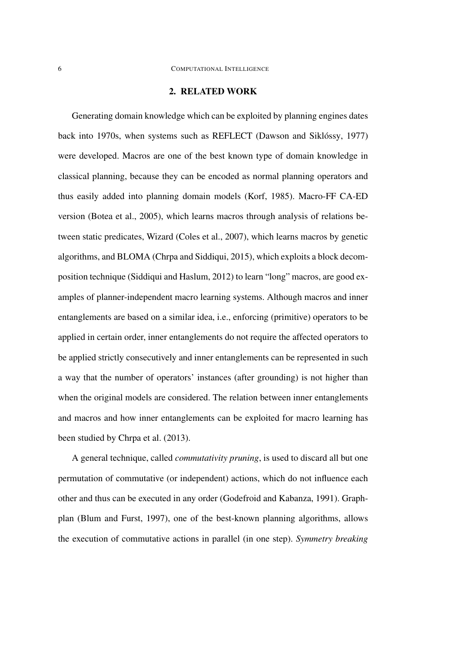### 2. RELATED WORK

Generating domain knowledge which can be exploited by planning engines dates back into 1970s, when systems such as REFLECT (Dawson and Siklóssy, 1977) were developed. Macros are one of the best known type of domain knowledge in classical planning, because they can be encoded as normal planning operators and thus easily added into planning domain models (Korf, 1985). Macro-FF CA-ED version (Botea et al., 2005), which learns macros through analysis of relations between static predicates, Wizard (Coles et al., 2007), which learns macros by genetic algorithms, and BLOMA (Chrpa and Siddiqui, 2015), which exploits a block decomposition technique (Siddiqui and Haslum, 2012) to learn "long" macros, are good examples of planner-independent macro learning systems. Although macros and inner entanglements are based on a similar idea, i.e., enforcing (primitive) operators to be applied in certain order, inner entanglements do not require the affected operators to be applied strictly consecutively and inner entanglements can be represented in such a way that the number of operators' instances (after grounding) is not higher than when the original models are considered. The relation between inner entanglements and macros and how inner entanglements can be exploited for macro learning has been studied by Chrpa et al. (2013).

A general technique, called *commutativity pruning*, is used to discard all but one permutation of commutative (or independent) actions, which do not influence each other and thus can be executed in any order (Godefroid and Kabanza, 1991). Graphplan (Blum and Furst, 1997), one of the best-known planning algorithms, allows the execution of commutative actions in parallel (in one step). *Symmetry breaking*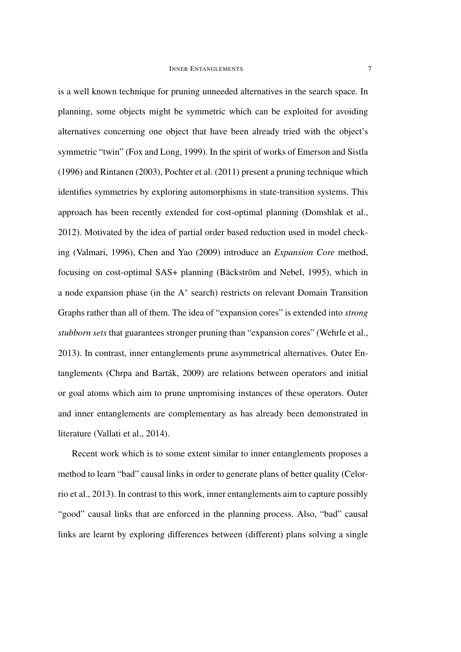### **INNER ENTANGLEMENTS** 7

is a well known technique for pruning unneeded alternatives in the search space. In planning, some objects might be symmetric which can be exploited for avoiding alternatives concerning one object that have been already tried with the object's symmetric "twin" (Fox and Long, 1999). In the spirit of works of Emerson and Sistla (1996) and Rintanen (2003), Pochter et al. (2011) present a pruning technique which identifies symmetries by exploring automorphisms in state-transition systems. This approach has been recently extended for cost-optimal planning (Domshlak et al., 2012). Motivated by the idea of partial order based reduction used in model checking (Valmari, 1996), Chen and Yao (2009) introduce an *Expansion Core* method, focusing on cost-optimal SAS+ planning (Bäckström and Nebel, 1995), which in a node expansion phase (in the A<sup>\*</sup> search) restricts on relevant Domain Transition Graphs rather than all of them. The idea of "expansion cores" is extended into *strong stubborn sets* that guarantees stronger pruning than "expansion cores" (Wehrle et al., 2013). In contrast, inner entanglements prune asymmetrical alternatives. Outer Entanglements (Chrpa and Barták, 2009) are relations between operators and initial or goal atoms which aim to prune unpromising instances of these operators. Outer and inner entanglements are complementary as has already been demonstrated in literature (Vallati et al., 2014).

Recent work which is to some extent similar to inner entanglements proposes a method to learn "bad" causal links in order to generate plans of better quality (Celorrio et al., 2013). In contrast to this work, inner entanglements aim to capture possibly "good" causal links that are enforced in the planning process. Also, "bad" causal links are learnt by exploring differences between (different) plans solving a single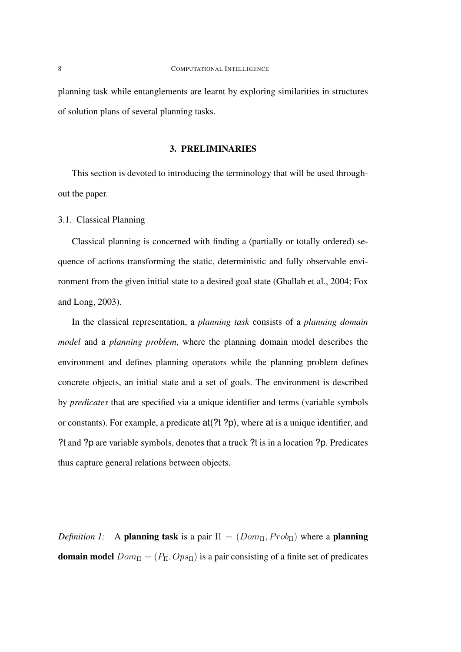planning task while entanglements are learnt by exploring similarities in structures of solution plans of several planning tasks.

## 3. PRELIMINARIES

This section is devoted to introducing the terminology that will be used throughout the paper.

### 3.1. Classical Planning

Classical planning is concerned with finding a (partially or totally ordered) sequence of actions transforming the static, deterministic and fully observable environment from the given initial state to a desired goal state (Ghallab et al., 2004; Fox and Long, 2003).

In the classical representation, a *planning task* consists of a *planning domain model* and a *planning problem*, where the planning domain model describes the environment and defines planning operators while the planning problem defines concrete objects, an initial state and a set of goals. The environment is described by *predicates* that are specified via a unique identifier and terms (variable symbols or constants). For example, a predicate at(?t ?p), where at is a unique identifier, and ?t and ?p are variable symbols, denotes that a truck ?t is in a location ?p. Predicates thus capture general relations between objects.

*Definition 1:* A planning task is a pair  $\Pi = (Dom_{\Pi}, Prob_{\Pi})$  where a planning **domain model**  $Dom_{\Pi} = (P_{\Pi}, Op_{\Pi})$  is a pair consisting of a finite set of predicates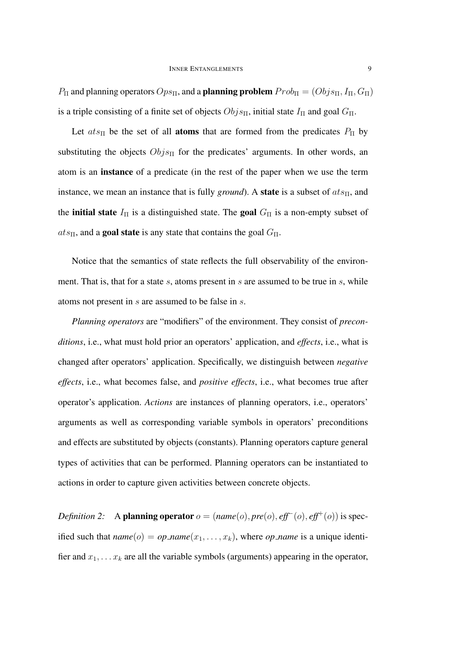$P_{\Pi}$  and planning operators  $Ops_{\Pi}$ , and a **planning problem**  $Prob_{\Pi} = (Objs_{\Pi}, I_{\Pi}, G_{\Pi})$ is a triple consisting of a finite set of objects  $Objs<sub>II</sub>$ , initial state  $I<sub>II</sub>$  and goal  $G<sub>II</sub>$ .

Let  $ats_{\Pi}$  be the set of all **atoms** that are formed from the predicates  $P_{\Pi}$  by substituting the objects  $Objs<sub>Π</sub>$  for the predicates' arguments. In other words, an atom is an instance of a predicate (in the rest of the paper when we use the term instance, we mean an instance that is fully *ground*). A **state** is a subset of  $ats_{\Pi}$ , and the **initial state**  $I_{\Pi}$  is a distinguished state. The **goal**  $G_{\Pi}$  is a non-empty subset of  $ats_{\Pi}$ , and a goal state is any state that contains the goal  $G_{\Pi}$ .

Notice that the semantics of state reflects the full observability of the environment. That is, that for a state  $s$ , atoms present in  $s$  are assumed to be true in  $s$ , while atoms not present in s are assumed to be false in s.

*Planning operators* are "modifiers" of the environment. They consist of *preconditions*, i.e., what must hold prior an operators' application, and *effects*, i.e., what is changed after operators' application. Specifically, we distinguish between *negative effects*, i.e., what becomes false, and *positive effects*, i.e., what becomes true after operator's application. *Actions* are instances of planning operators, i.e., operators' arguments as well as corresponding variable symbols in operators' preconditions and effects are substituted by objects (constants). Planning operators capture general types of activities that can be performed. Planning operators can be instantiated to actions in order to capture given activities between concrete objects.

*Definition 2:* A **planning operator**  $o = (name(o), pre(o), eff^-(o), eff^+(o))$  is specified such that  $name(o) = op_name(x_1, \ldots, x_k)$ , where *op\_name* is a unique identifier and  $x_1, \ldots x_k$  are all the variable symbols (arguments) appearing in the operator,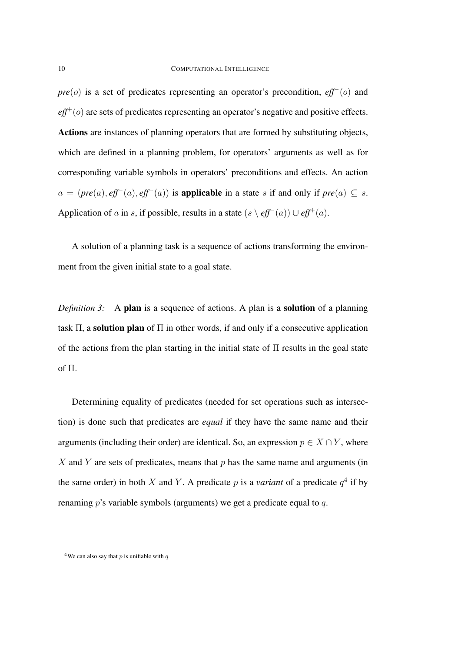*pre*(*o*) is a set of predicates representing an operator's precondition, *eff*<sup>−</sup>(*o*) and  $\textit{eff}^{+}(o)$  are sets of predicates representing an operator's negative and positive effects. Actions are instances of planning operators that are formed by substituting objects, which are defined in a planning problem, for operators' arguments as well as for corresponding variable symbols in operators' preconditions and effects. An action  $a = (pre(a), eff^-(a), eff^+(a))$  is **applicable** in a state s if and only if  $pre(a) \subseteq s$ . Application of a in s, if possible, results in a state  $(s \setminus \text{eff}^-(a)) \cup \text{eff}^+(a)$ .

A solution of a planning task is a sequence of actions transforming the environment from the given initial state to a goal state.

*Definition 3:* A **plan** is a sequence of actions. A plan is a **solution** of a planning task  $\Pi$ , a solution plan of  $\Pi$  in other words, if and only if a consecutive application of the actions from the plan starting in the initial state of Π results in the goal state of Π.

Determining equality of predicates (needed for set operations such as intersection) is done such that predicates are *equal* if they have the same name and their arguments (including their order) are identical. So, an expression  $p \in X \cap Y$ , where X and Y are sets of predicates, means that  $p$  has the same name and arguments (in the same order) in both X and Y. A predicate p is a *variant* of a predicate  $q<sup>4</sup>$  if by renaming p's variable symbols (arguments) we get a predicate equal to q.

<sup>&</sup>lt;sup>4</sup>We can also say that p is unifiable with q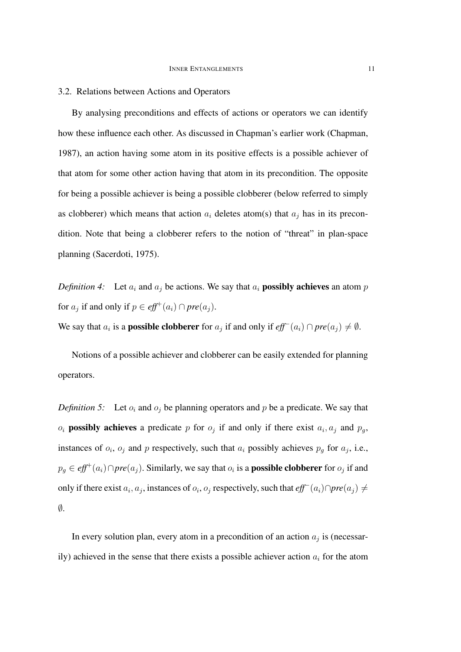### 3.2. Relations between Actions and Operators

By analysing preconditions and effects of actions or operators we can identify how these influence each other. As discussed in Chapman's earlier work (Chapman, 1987), an action having some atom in its positive effects is a possible achiever of that atom for some other action having that atom in its precondition. The opposite for being a possible achiever is being a possible clobberer (below referred to simply as clobberer) which means that action  $a_i$  deletes atom(s) that  $a_j$  has in its precondition. Note that being a clobberer refers to the notion of "threat" in plan-space planning (Sacerdoti, 1975).

*Definition 4:* Let  $a_i$  and  $a_j$  be actions. We say that  $a_i$  **possibly achieves** an atom p for  $a_j$  if and only if  $p \in \text{eff}^+(a_i) \cap \text{pre}(a_j)$ .

We say that  $a_i$  is a **possible clobberer** for  $a_j$  if and only if  $eff^-(a_i) \cap pre(a_j) \neq \emptyset$ .

Notions of a possible achiever and clobberer can be easily extended for planning operators.

*Definition 5:* Let  $o_i$  and  $o_j$  be planning operators and p be a predicate. We say that  $o_i$  possibly achieves a predicate p for  $o_j$  if and only if there exist  $a_i, a_j$  and  $p_g$ , instances of  $o_i$ ,  $o_j$  and p respectively, such that  $a_i$  possibly achieves  $p_g$  for  $a_j$ , i.e.,  $p_g \in \mathit{eff}^+(a_i) \cap \mathit{pre}(a_j)$ . Similarly, we say that  $o_i$  is a **possible clobberer** for  $o_j$  if and only if there exist  $a_i$ ,  $a_j$ , instances of  $o_i$ ,  $o_j$  respectively, such that  $eff<sup>−</sup>(a_i) ∩ pre(a_j) ≠$  $\emptyset$ .

In every solution plan, every atom in a precondition of an action  $a_j$  is (necessarily) achieved in the sense that there exists a possible achiever action  $a_i$  for the atom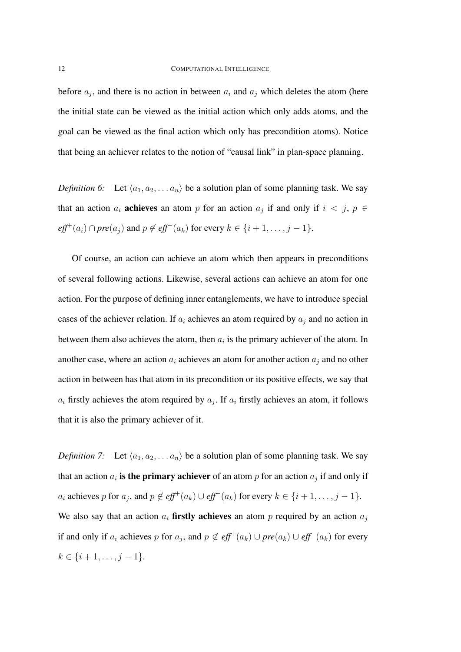before  $a_j$ , and there is no action in between  $a_i$  and  $a_j$  which deletes the atom (here the initial state can be viewed as the initial action which only adds atoms, and the goal can be viewed as the final action which only has precondition atoms). Notice that being an achiever relates to the notion of "causal link" in plan-space planning.

*Definition 6:* Let  $\langle a_1, a_2, \ldots, a_n \rangle$  be a solution plan of some planning task. We say that an action  $a_i$  achieves an atom p for an action  $a_j$  if and only if  $i < j$ ,  $p \in$  $\textit{eff}^+(a_i) \cap \textit{pre}(a_j)$  and  $p \notin \textit{eff}^-(a_k)$  for every  $k \in \{i+1, \ldots, j-1\}.$ 

Of course, an action can achieve an atom which then appears in preconditions of several following actions. Likewise, several actions can achieve an atom for one action. For the purpose of defining inner entanglements, we have to introduce special cases of the achiever relation. If  $a_i$  achieves an atom required by  $a_i$  and no action in between them also achieves the atom, then  $a_i$  is the primary achiever of the atom. In another case, where an action  $a_i$  achieves an atom for another action  $a_i$  and no other action in between has that atom in its precondition or its positive effects, we say that  $a_i$  firstly achieves the atom required by  $a_j$ . If  $a_i$  firstly achieves an atom, it follows that it is also the primary achiever of it.

*Definition 7:* Let  $\langle a_1, a_2, \ldots, a_n \rangle$  be a solution plan of some planning task. We say that an action  $a_i$  is the primary achiever of an atom p for an action  $a_j$  if and only if  $a_i$  achieves p for  $a_j$ , and  $p \notin \text{eff}^+(a_k) \cup \text{eff}^-(a_k)$  for every  $k \in \{i+1,\ldots,j-1\}$ . We also say that an action  $a_i$  firstly achieves an atom p required by an action  $a_j$ if and only if  $a_i$  achieves p for  $a_j$ , and  $p \notin \text{eff}^+(a_k) \cup \text{pre}(a_k) \cup \text{eff}^-(a_k)$  for every  $k \in \{i+1, \ldots, j-1\}.$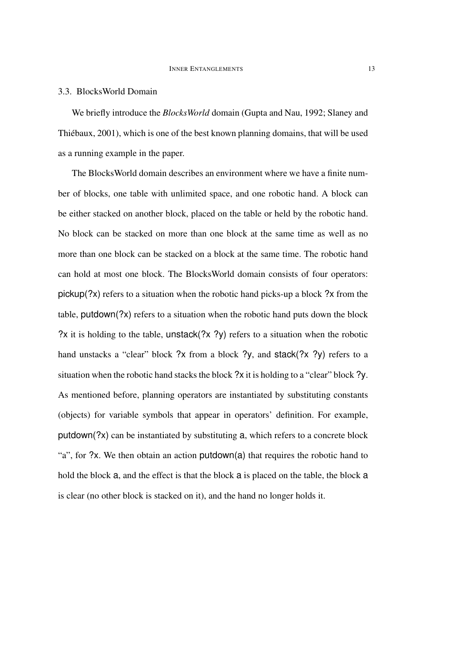### 3.3. BlocksWorld Domain

We briefly introduce the *BlocksWorld* domain (Gupta and Nau, 1992; Slaney and Thiébaux, 2001), which is one of the best known planning domains, that will be used as a running example in the paper.

The BlocksWorld domain describes an environment where we have a finite number of blocks, one table with unlimited space, and one robotic hand. A block can be either stacked on another block, placed on the table or held by the robotic hand. No block can be stacked on more than one block at the same time as well as no more than one block can be stacked on a block at the same time. The robotic hand can hold at most one block. The BlocksWorld domain consists of four operators: pickup(?x) refers to a situation when the robotic hand picks-up a block ?x from the table,  $p$ utdown $(2x)$  refers to a situation when the robotic hand puts down the block ?x it is holding to the table, unstack(?x ?y) refers to a situation when the robotic hand unstacks a "clear" block ?x from a block ?y, and stack(?x ?y) refers to a situation when the robotic hand stacks the block ?x it is holding to a "clear" block ?y. As mentioned before, planning operators are instantiated by substituting constants (objects) for variable symbols that appear in operators' definition. For example, putdown(?x) can be instantiated by substituting a, which refers to a concrete block "a", for ?x. We then obtain an action putdown(a) that requires the robotic hand to hold the block a, and the effect is that the block a is placed on the table, the block a is clear (no other block is stacked on it), and the hand no longer holds it.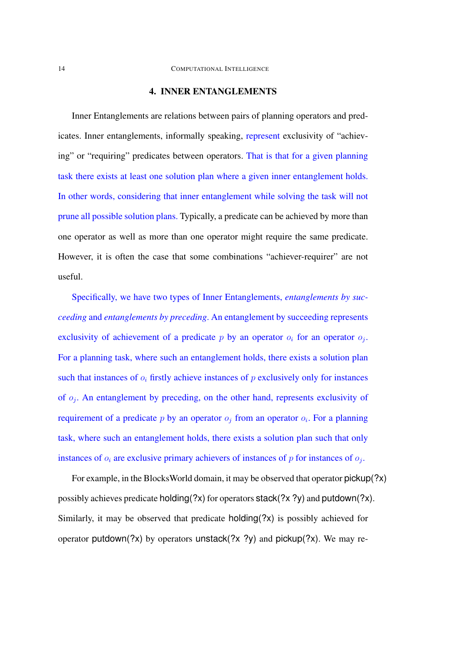## 4. INNER ENTANGLEMENTS

Inner Entanglements are relations between pairs of planning operators and predicates. Inner entanglements, informally speaking, represent exclusivity of "achieving" or "requiring" predicates between operators. That is that for a given planning task there exists at least one solution plan where a given inner entanglement holds. In other words, considering that inner entanglement while solving the task will not prune all possible solution plans. Typically, a predicate can be achieved by more than one operator as well as more than one operator might require the same predicate. However, it is often the case that some combinations "achiever-requirer" are not useful.

Specifically, we have two types of Inner Entanglements, *entanglements by succeeding* and *entanglements by preceding*. An entanglement by succeeding represents exclusivity of achievement of a predicate  $p$  by an operator  $o_i$  for an operator  $o_j$ . For a planning task, where such an entanglement holds, there exists a solution plan such that instances of  $o_i$  firstly achieve instances of p exclusively only for instances of  $o_j$ . An entanglement by preceding, on the other hand, represents exclusivity of requirement of a predicate p by an operator  $o_j$  from an operator  $o_i$ . For a planning task, where such an entanglement holds, there exists a solution plan such that only instances of  $o_i$  are exclusive primary achievers of instances of p for instances of  $o_j$ .

For example, in the BlocksWorld domain, it may be observed that operator pickup(?x) possibly achieves predicate holding(?x) for operators stack(?x ?y) and putdown(?x). Similarly, it may be observed that predicate holding(?x) is possibly achieved for operator putdown(?x) by operators unstack(?x ?y) and pickup(?x). We may re-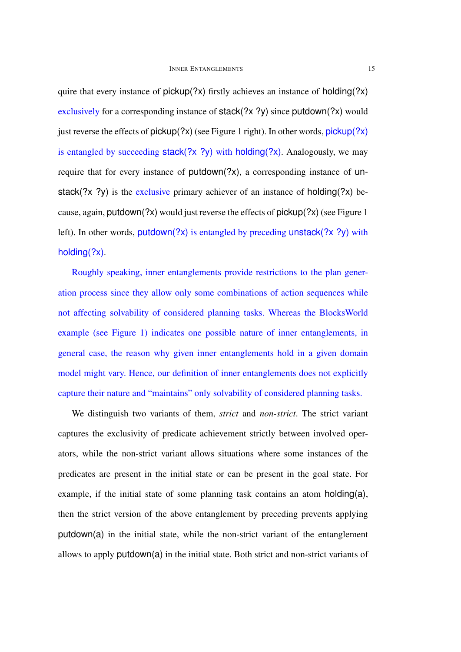quire that every instance of  $pickup$ (?x) firstly achieves an instance of holding(?x) exclusively for a corresponding instance of stack(?x ?y) since putdown(?x) would just reverse the effects of  $pickup$ (?x) (see Figure 1 right). In other words,  $pickup$ (?x) is entangled by succeeding stack(?x ?y) with holding(?x). Analogously, we may require that for every instance of putdown(?x), a corresponding instance of unstack(?x ?y) is the exclusive primary achiever of an instance of holding(?x) because, again, putdown(?x) would just reverse the effects of pickup(?x) (see Figure 1 left). In other words, putdown(?x) is entangled by preceding unstack(?x ?y) with holding(?x).

Roughly speaking, inner entanglements provide restrictions to the plan generation process since they allow only some combinations of action sequences while not affecting solvability of considered planning tasks. Whereas the BlocksWorld example (see Figure 1) indicates one possible nature of inner entanglements, in general case, the reason why given inner entanglements hold in a given domain model might vary. Hence, our definition of inner entanglements does not explicitly capture their nature and "maintains" only solvability of considered planning tasks.

We distinguish two variants of them, *strict* and *non-strict*. The strict variant captures the exclusivity of predicate achievement strictly between involved operators, while the non-strict variant allows situations where some instances of the predicates are present in the initial state or can be present in the goal state. For example, if the initial state of some planning task contains an atom holding(a), then the strict version of the above entanglement by preceding prevents applying putdown(a) in the initial state, while the non-strict variant of the entanglement allows to apply putdown(a) in the initial state. Both strict and non-strict variants of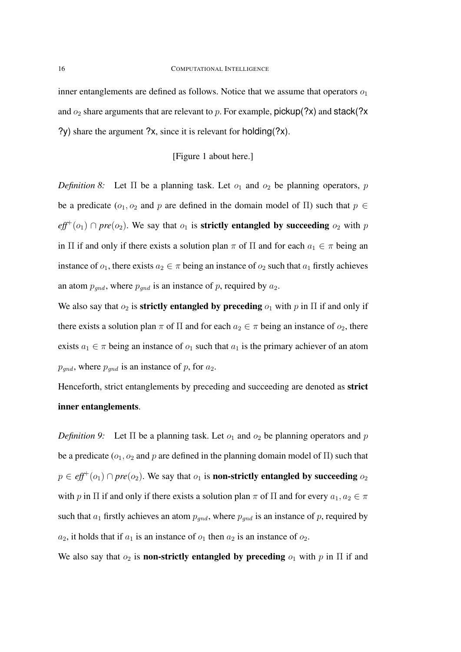inner entanglements are defined as follows. Notice that we assume that operators  $o_1$ and  $o_2$  share arguments that are relevant to p. For example, pickup(?x) and stack(?x ?y) share the argument ?x, since it is relevant for holding(?x).

## [Figure 1 about here.]

*Definition 8:* Let  $\Pi$  be a planning task. Let  $o_1$  and  $o_2$  be planning operators, p be a predicate ( $o_1, o_2$  and p are defined in the domain model of  $\Pi$ ) such that  $p \in \mathcal{E}$  $\textit{eff}^{+}(o_1) \cap \textit{pre}(o_2)$ . We say that  $o_1$  is **strictly entangled by succeeding**  $o_2$  with p in Π if and only if there exists a solution plan  $\pi$  of Π and for each  $a_1 \in \pi$  being an instance of  $o_1$ , there exists  $a_2 \in \pi$  being an instance of  $o_2$  such that  $a_1$  firstly achieves an atom  $p_{qnd}$ , where  $p_{qnd}$  is an instance of p, required by  $a_2$ .

We also say that  $o_2$  is **strictly entangled by preceding**  $o_1$  with p in  $\Pi$  if and only if there exists a solution plan  $\pi$  of  $\Pi$  and for each  $a_2 \in \pi$  being an instance of  $o_2$ , there exists  $a_1 \in \pi$  being an instance of  $o_1$  such that  $a_1$  is the primary achiever of an atom  $p_{\text{gnd}}$ , where  $p_{\text{gnd}}$  is an instance of p, for  $a_2$ .

Henceforth, strict entanglements by preceding and succeeding are denoted as strict inner entanglements.

*Definition 9:* Let  $\Pi$  be a planning task. Let  $o_1$  and  $o_2$  be planning operators and p be a predicate ( $o_1$ ,  $o_2$  and p are defined in the planning domain model of  $\Pi$ ) such that  $p \in \text{eff}^+(o_1) \cap \text{pre}(o_2)$ . We say that  $o_1$  is **non-strictly entangled by succeeding**  $o_2$ with p in  $\Pi$  if and only if there exists a solution plan  $\pi$  of  $\Pi$  and for every  $a_1, a_2 \in \pi$ such that  $a_1$  firstly achieves an atom  $p_{qnd}$ , where  $p_{qnd}$  is an instance of p, required by  $a_2$ , it holds that if  $a_1$  is an instance of  $o_1$  then  $a_2$  is an instance of  $o_2$ .

We also say that  $o_2$  is **non-strictly entangled by preceding**  $o_1$  with p in  $\Pi$  if and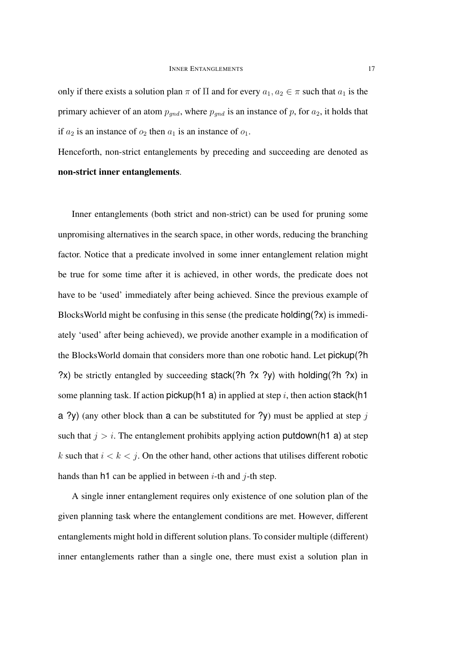only if there exists a solution plan  $\pi$  of  $\Pi$  and for every  $a_1, a_2 \in \pi$  such that  $a_1$  is the primary achiever of an atom  $p_{gnd}$ , where  $p_{gnd}$  is an instance of p, for  $a_2$ , it holds that if  $a_2$  is an instance of  $o_2$  then  $a_1$  is an instance of  $o_1$ .

Henceforth, non-strict entanglements by preceding and succeeding are denoted as non-strict inner entanglements.

Inner entanglements (both strict and non-strict) can be used for pruning some unpromising alternatives in the search space, in other words, reducing the branching factor. Notice that a predicate involved in some inner entanglement relation might be true for some time after it is achieved, in other words, the predicate does not have to be 'used' immediately after being achieved. Since the previous example of BlocksWorld might be confusing in this sense (the predicate holding(?x) is immediately 'used' after being achieved), we provide another example in a modification of the BlocksWorld domain that considers more than one robotic hand. Let pickup(?h ?x) be strictly entangled by succeeding stack(?h ?x ?y) with holding(?h ?x) in some planning task. If action pickup(h1 a) in applied at step i, then action stack(h1 a ?y) (any other block than a can be substituted for ?y) must be applied at step  $j$ such that  $j > i$ . The entanglement prohibits applying action putdown(h1 a) at step k such that  $i < k < j$ . On the other hand, other actions that utilises different robotic hands than h1 can be applied in between  $i$ -th and  $j$ -th step.

A single inner entanglement requires only existence of one solution plan of the given planning task where the entanglement conditions are met. However, different entanglements might hold in different solution plans. To consider multiple (different) inner entanglements rather than a single one, there must exist a solution plan in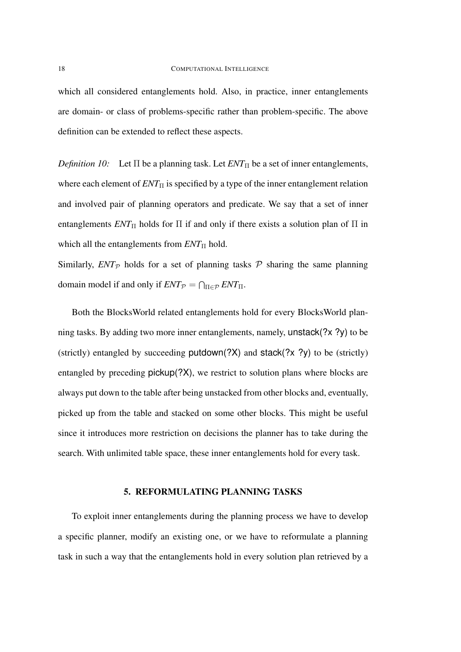which all considered entanglements hold. Also, in practice, inner entanglements are domain- or class of problems-specific rather than problem-specific. The above definition can be extended to reflect these aspects.

*Definition 10:* Let  $\Pi$  be a planning task. Let  $ENT_{\Pi}$  be a set of inner entanglements, where each element of  $ENT_{\Pi}$  is specified by a type of the inner entanglement relation and involved pair of planning operators and predicate. We say that a set of inner entanglements  $ENT_{\Pi}$  holds for  $\Pi$  if and only if there exists a solution plan of  $\Pi$  in which all the entanglements from  $ENT_{\text{II}}$  hold.

Similarly,  $ENT_{\mathcal{P}}$  holds for a set of planning tasks  $\mathcal P$  sharing the same planning domain model if and only if  $ENT_p = \bigcap_{\Pi \in \mathcal{P}} ENT_{\Pi}$ .

Both the BlocksWorld related entanglements hold for every BlocksWorld planning tasks. By adding two more inner entanglements, namely, unstack(?x ?y) to be (strictly) entangled by succeeding  $p$ utdown(?X) and stack(?x ?y) to be (strictly) entangled by preceding pickup(?X), we restrict to solution plans where blocks are always put down to the table after being unstacked from other blocks and, eventually, picked up from the table and stacked on some other blocks. This might be useful since it introduces more restriction on decisions the planner has to take during the search. With unlimited table space, these inner entanglements hold for every task.

### 5. REFORMULATING PLANNING TASKS

To exploit inner entanglements during the planning process we have to develop a specific planner, modify an existing one, or we have to reformulate a planning task in such a way that the entanglements hold in every solution plan retrieved by a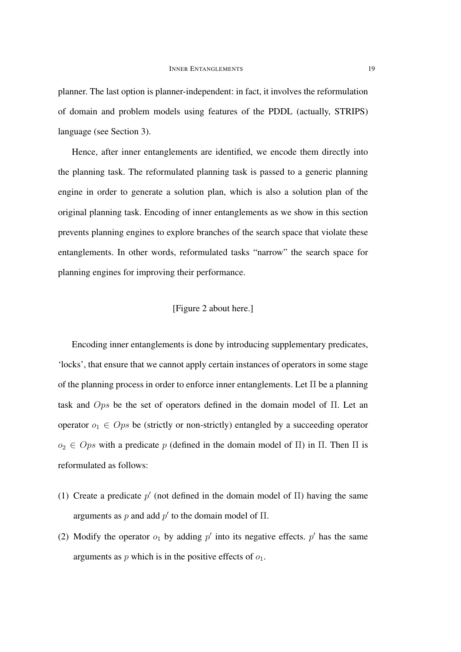planner. The last option is planner-independent: in fact, it involves the reformulation of domain and problem models using features of the PDDL (actually, STRIPS) language (see Section 3).

Hence, after inner entanglements are identified, we encode them directly into the planning task. The reformulated planning task is passed to a generic planning engine in order to generate a solution plan, which is also a solution plan of the original planning task. Encoding of inner entanglements as we show in this section prevents planning engines to explore branches of the search space that violate these entanglements. In other words, reformulated tasks "narrow" the search space for planning engines for improving their performance.

### [Figure 2 about here.]

Encoding inner entanglements is done by introducing supplementary predicates, 'locks', that ensure that we cannot apply certain instances of operators in some stage of the planning process in order to enforce inner entanglements. Let Π be a planning task and Ops be the set of operators defined in the domain model of Π. Let an operator  $o_1 \in Ops$  be (strictly or non-strictly) entangled by a succeeding operator  $o_2 \in Ops$  with a predicate p (defined in the domain model of  $\Pi$ ) in  $\Pi$ . Then  $\Pi$  is reformulated as follows:

- (1) Create a predicate  $p'$  (not defined in the domain model of  $\Pi$ ) having the same arguments as p and add  $p'$  to the domain model of  $\Pi$ .
- (2) Modify the operator  $o_1$  by adding  $p'$  into its negative effects.  $p'$  has the same arguments as  $p$  which is in the positive effects of  $o_1$ .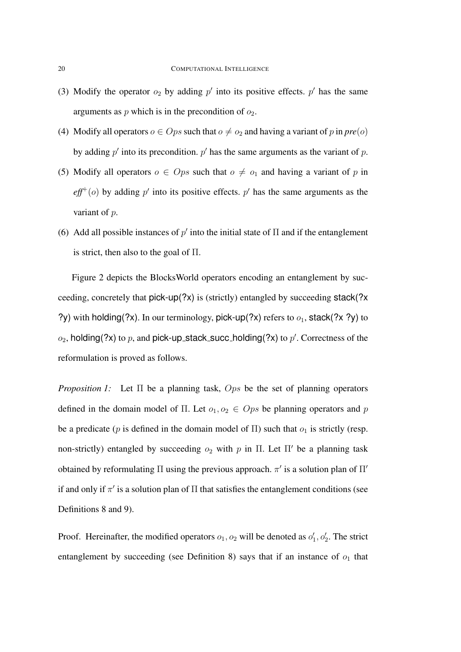- (3) Modify the operator  $o_2$  by adding  $p'$  into its positive effects.  $p'$  has the same arguments as  $p$  which is in the precondition of  $o_2$ .
- (4) Modify all operators  $o \in Ops$  such that  $o \neq o_2$  and having a variant of p in  $pre(o)$ by adding  $p'$  into its precondition.  $p'$  has the same arguments as the variant of  $p$ .
- (5) Modify all operators  $o \in Ops$  such that  $o \neq o_1$  and having a variant of p in  $\textit{eff}^{+}(o)$  by adding p' into its positive effects. p' has the same arguments as the variant of p.
- (6) Add all possible instances of  $p'$  into the initial state of  $\Pi$  and if the entanglement is strict, then also to the goal of  $\Pi$ .

Figure 2 depicts the BlocksWorld operators encoding an entanglement by succeeding, concretely that pick-up(?x) is (strictly) entangled by succeeding stack(?x ?y) with holding(?x). In our terminology, pick-up(?x) refers to  $o_1$ , stack(?x ?y) to  $o_2$ , holding(?x) to p, and pick-up\_stack\_succ\_holding(?x) to  $p'$ . Correctness of the reformulation is proved as follows.

*Proposition 1:* Let Π be a planning task, Ops be the set of planning operators defined in the domain model of Π. Let  $o_1, o_2 \in Ops$  be planning operators and p be a predicate (p is defined in the domain model of  $\Pi$ ) such that  $o_1$  is strictly (resp. non-strictly) entangled by succeeding  $o_2$  with p in  $\Pi$ . Let  $\Pi'$  be a planning task obtained by reformulating  $\Pi$  using the previous approach.  $\pi'$  is a solution plan of  $\Pi'$ if and only if  $\pi'$  is a solution plan of  $\Pi$  that satisfies the entanglement conditions (see Definitions 8 and 9).

Proof. Hereinafter, the modified operators  $o_1$ ,  $o_2$  will be denoted as  $o'_1$ ,  $o'_2$ . The strict entanglement by succeeding (see Definition 8) says that if an instance of  $o_1$  that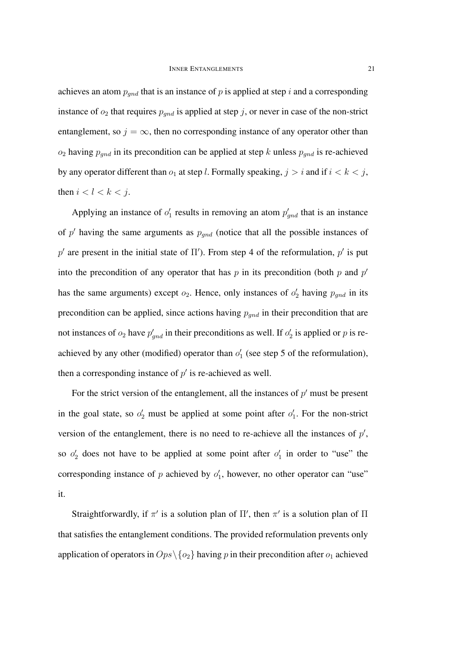achieves an atom  $p_{gnd}$  that is an instance of p is applied at step i and a corresponding instance of  $o_2$  that requires  $p_{qnd}$  is applied at step j, or never in case of the non-strict entanglement, so  $j = \infty$ , then no corresponding instance of any operator other than  $o_2$  having  $p_{gnd}$  in its precondition can be applied at step k unless  $p_{gnd}$  is re-achieved by any operator different than  $o_1$  at step l. Formally speaking,  $j > i$  and if  $i < k < j$ , then  $i < l < k < j$ .

Applying an instance of  $o'_1$  results in removing an atom  $p'_{\text{grad}}$  that is an instance of  $p'$  having the same arguments as  $p_{gnd}$  (notice that all the possible instances of p' are present in the initial state of  $\Pi'$ ). From step 4 of the reformulation, p' is put into the precondition of any operator that has  $p$  in its precondition (both  $p$  and  $p'$ has the same arguments) except  $o_2$ . Hence, only instances of  $o'_2$  having  $p_{gnd}$  in its precondition can be applied, since actions having  $p_{qnd}$  in their precondition that are not instances of  $o_2$  have  $p'_{\text{grad}}$  in their preconditions as well. If  $o'_2$  is applied or p is reachieved by any other (modified) operator than  $o'_1$  (see step 5 of the reformulation), then a corresponding instance of  $p'$  is re-achieved as well.

For the strict version of the entanglement, all the instances of  $p'$  must be present in the goal state, so  $o'_2$  must be applied at some point after  $o'_1$ . For the non-strict version of the entanglement, there is no need to re-achieve all the instances of  $p'$ , so  $o'_2$  does not have to be applied at some point after  $o'_1$  in order to "use" the corresponding instance of p achieved by  $o'_1$ , however, no other operator can "use" it.

Straightforwardly, if  $\pi'$  is a solution plan of  $\Pi'$ , then  $\pi'$  is a solution plan of  $\Pi$ that satisfies the entanglement conditions. The provided reformulation prevents only application of operators in  $Ops \setminus \{o_2\}$  having p in their precondition after  $o_1$  achieved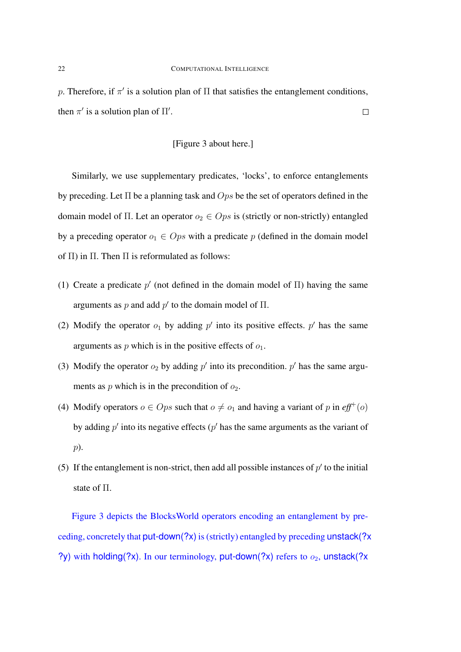p. Therefore, if  $\pi'$  is a solution plan of  $\Pi$  that satisfies the entanglement conditions, then  $\pi'$  is a solution plan of  $\Pi'$ .  $\Box$ 

## [Figure 3 about here.]

Similarly, we use supplementary predicates, 'locks', to enforce entanglements by preceding. Let  $\Pi$  be a planning task and  $Ops$  be the set of operators defined in the domain model of Π. Let an operator  $o_2 \in Ops$  is (strictly or non-strictly) entangled by a preceding operator  $o_1 \in Ops$  with a predicate p (defined in the domain model of  $\Pi$ ) in  $\Pi$ . Then  $\Pi$  is reformulated as follows:

- (1) Create a predicate  $p'$  (not defined in the domain model of  $\Pi$ ) having the same arguments as p and add  $p'$  to the domain model of  $\Pi$ .
- (2) Modify the operator  $o_1$  by adding  $p'$  into its positive effects.  $p'$  has the same arguments as  $p$  which is in the positive effects of  $o_1$ .
- (3) Modify the operator  $o_2$  by adding p' into its precondition. p' has the same arguments as  $p$  which is in the precondition of  $o_2$ .
- (4) Modify operators  $o \in Ops$  such that  $o \neq o_1$  and having a variant of p in  $\ell f f^+(o)$ by adding  $p'$  into its negative effects ( $p'$  has the same arguments as the variant of p).
- (5) If the entanglement is non-strict, then add all possible instances of  $p'$  to the initial state of Π.

Figure 3 depicts the BlocksWorld operators encoding an entanglement by preceding, concretely that put-down(?x) is (strictly) entangled by preceding unstack(?x ?y) with holding(?x). In our terminology, put-down(?x) refers to  $o_2$ , unstack(?x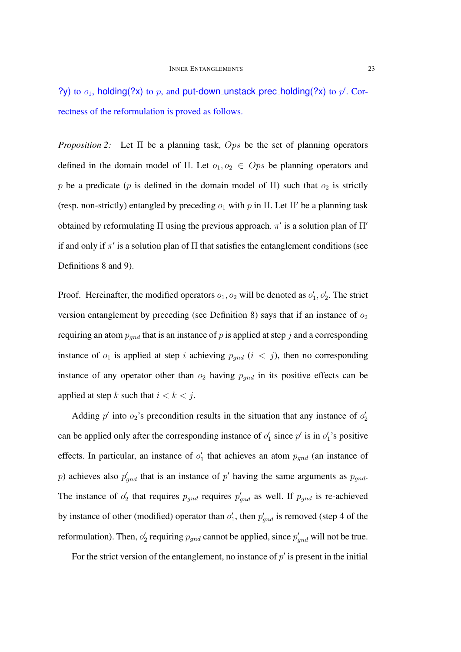?y) to  $o_1$ , holding(?x) to p, and put-down unstack prec holding(?x) to p'. Correctness of the reformulation is proved as follows.

*Proposition 2:* Let Π be a planning task, Ops be the set of planning operators defined in the domain model of Π. Let  $o_1, o_2 \in Ops$  be planning operators and p be a predicate (p is defined in the domain model of  $\Pi$ ) such that  $o_2$  is strictly (resp. non-strictly) entangled by preceding  $o_1$  with p in  $\Pi$ . Let  $\Pi'$  be a planning task obtained by reformulating  $\Pi$  using the previous approach.  $\pi'$  is a solution plan of  $\Pi'$ if and only if  $\pi'$  is a solution plan of  $\Pi$  that satisfies the entanglement conditions (see Definitions 8 and 9).

Proof. Hereinafter, the modified operators  $o_1$ ,  $o_2$  will be denoted as  $o'_1$ ,  $o'_2$ . The strict version entanglement by preceding (see Definition 8) says that if an instance of  $o_2$ requiring an atom  $p_{qnd}$  that is an instance of p is applied at step j and a corresponding instance of  $o_1$  is applied at step i achieving  $p_{qnd}$  (i < j), then no corresponding instance of any operator other than  $o_2$  having  $p_{gnd}$  in its positive effects can be applied at step k such that  $i < k < j$ .

Adding  $p'$  into  $o_2$ 's precondition results in the situation that any instance of  $o'_2$ can be applied only after the corresponding instance of  $o'_1$  since  $p'$  is in  $o'_1$ 's positive effects. In particular, an instance of  $o'_1$  that achieves an atom  $p_{gnd}$  (an instance of p) achieves also  $p'_{\text{gnd}}$  that is an instance of p' having the same arguments as  $p_{\text{gnd}}$ . The instance of  $o'_2$  that requires  $p'_{gnd}$  requires  $p'_{gnd}$  as well. If  $p_{gnd}$  is re-achieved by instance of other (modified) operator than  $o'_1$ , then  $p'_{\text{grad}}$  is removed (step 4 of the reformulation). Then,  $o'_2$  requiring  $p_{gnd}$  cannot be applied, since  $p'_{gnd}$  will not be true.

For the strict version of the entanglement, no instance of  $p'$  is present in the initial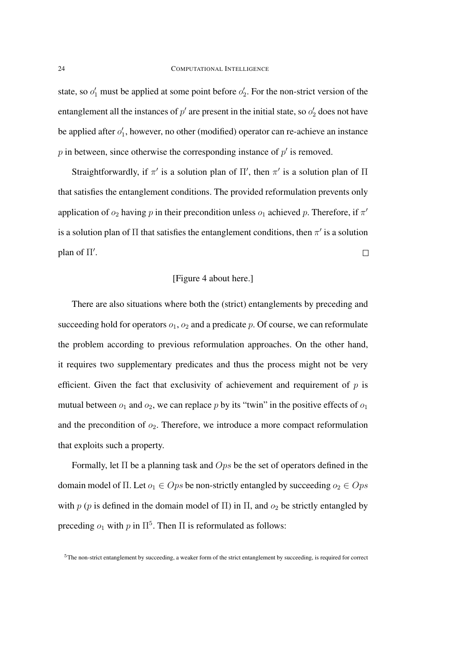state, so  $o'_1$  must be applied at some point before  $o'_2$ . For the non-strict version of the entanglement all the instances of  $p'$  are present in the initial state, so  $o'_2$  does not have be applied after  $o'_1$ , however, no other (modified) operator can re-achieve an instance  $p$  in between, since otherwise the corresponding instance of  $p'$  is removed.

Straightforwardly, if  $\pi'$  is a solution plan of  $\Pi'$ , then  $\pi'$  is a solution plan of  $\Pi$ that satisfies the entanglement conditions. The provided reformulation prevents only application of  $o_2$  having p in their precondition unless  $o_1$  achieved p. Therefore, if  $\pi'$ is a solution plan of  $\Pi$  that satisfies the entanglement conditions, then  $\pi'$  is a solution plan of  $\Pi'$ .  $\Box$ 

### [Figure 4 about here.]

There are also situations where both the (strict) entanglements by preceding and succeeding hold for operators  $o_1$ ,  $o_2$  and a predicate p. Of course, we can reformulate the problem according to previous reformulation approaches. On the other hand, it requires two supplementary predicates and thus the process might not be very efficient. Given the fact that exclusivity of achievement and requirement of  $p$  is mutual between  $o_1$  and  $o_2$ , we can replace p by its "twin" in the positive effects of  $o_1$ and the precondition of  $o_2$ . Therefore, we introduce a more compact reformulation that exploits such a property.

Formally, let  $\Pi$  be a planning task and  $Ops$  be the set of operators defined in the domain model of Π. Let  $o_1 \in Ops$  be non-strictly entangled by succeeding  $o_2 \in Ops$ with p (p is defined in the domain model of  $\Pi$ ) in  $\Pi$ , and  $o_2$  be strictly entangled by preceding  $o_1$  with  $p$  in  $\Pi^5$ . Then  $\Pi$  is reformulated as follows:

<sup>5</sup>The non-strict entanglement by succeeding, a weaker form of the strict entanglement by succeeding, is required for correct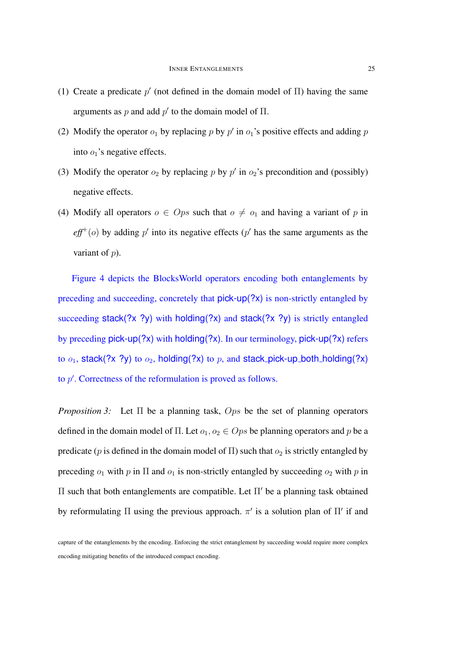- (1) Create a predicate  $p'$  (not defined in the domain model of  $\Pi$ ) having the same arguments as p and add  $p'$  to the domain model of  $\Pi$ .
- (2) Modify the operator  $o_1$  by replacing p by p' in  $o_1$ 's positive effects and adding p into  $o_1$ 's negative effects.
- (3) Modify the operator  $o_2$  by replacing p by p' in  $o_2$ 's precondition and (possibly) negative effects.
- (4) Modify all operators  $o \in Ops$  such that  $o \neq o_1$  and having a variant of p in  $\textit{eff}^{+}(o)$  by adding p' into its negative effects (p' has the same arguments as the variant of  $p$ ).

Figure 4 depicts the BlocksWorld operators encoding both entanglements by preceding and succeeding, concretely that pick-up(?x) is non-strictly entangled by succeeding stack(?x ?y) with holding(?x) and stack(?x ?y) is strictly entangled by preceding pick-up(?x) with holding(?x). In our terminology, pick-up(?x) refers to  $o_1$ , stack(?x ?y) to  $o_2$ , holding(?x) to p, and stack pick-up both holding(?x) to  $p'$ . Correctness of the reformulation is proved as follows.

*Proposition 3:* Let Π be a planning task, Ops be the set of planning operators defined in the domain model of  $\Pi$ . Let  $o_1, o_2 \in Ops$  be planning operators and p be a predicate (p is defined in the domain model of  $\Pi$ ) such that  $o_2$  is strictly entangled by preceding  $o_1$  with p in  $\Pi$  and  $o_1$  is non-strictly entangled by succeeding  $o_2$  with p in Π such that both entanglements are compatible. Let  $\Pi'$  be a planning task obtained by reformulating  $\Pi$  using the previous approach.  $\pi'$  is a solution plan of  $\Pi'$  if and

capture of the entanglements by the encoding. Enforcing the strict entanglement by succeeding would require more complex encoding mitigating benefits of the introduced compact encoding.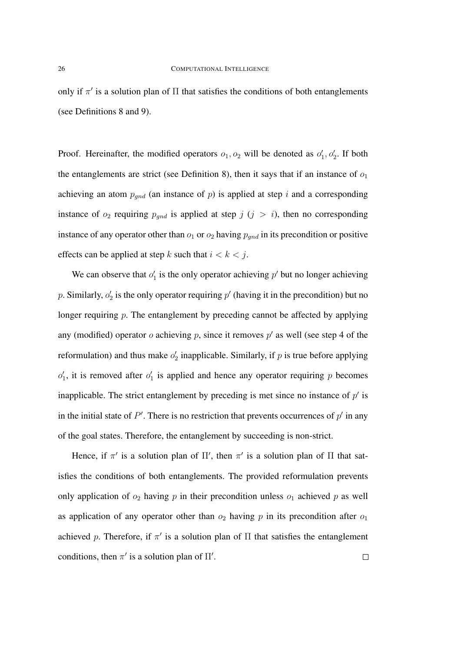only if  $\pi'$  is a solution plan of  $\Pi$  that satisfies the conditions of both entanglements (see Definitions 8 and 9).

Proof. Hereinafter, the modified operators  $o_1, o_2$  will be denoted as  $o'_1, o'_2$ . If both the entanglements are strict (see Definition 8), then it says that if an instance of  $o_1$ achieving an atom  $p_{gnd}$  (an instance of p) is applied at step i and a corresponding instance of  $o_2$  requiring  $p_{gnd}$  is applied at step  $j$  ( $j > i$ ), then no corresponding instance of any operator other than  $o_1$  or  $o_2$  having  $p_{and}$  in its precondition or positive effects can be applied at step k such that  $i < k < j$ .

We can observe that  $o'_1$  is the only operator achieving  $p'$  but no longer achieving p. Similarly,  $o'_2$  is the only operator requiring  $p'$  (having it in the precondition) but no longer requiring p. The entanglement by preceding cannot be affected by applying any (modified) operator  $o$  achieving  $p$ , since it removes  $p'$  as well (see step 4 of the reformulation) and thus make  $o'_2$  inapplicable. Similarly, if p is true before applying  $o'_1$ , it is removed after  $o'_1$  is applied and hence any operator requiring p becomes inapplicable. The strict entanglement by preceding is met since no instance of  $p'$  is in the initial state of  $P'$ . There is no restriction that prevents occurrences of  $p'$  in any of the goal states. Therefore, the entanglement by succeeding is non-strict.

Hence, if  $\pi'$  is a solution plan of  $\Pi'$ , then  $\pi'$  is a solution plan of  $\Pi$  that satisfies the conditions of both entanglements. The provided reformulation prevents only application of  $o_2$  having p in their precondition unless  $o_1$  achieved p as well as application of any operator other than  $o_2$  having p in its precondition after  $o_1$ achieved p. Therefore, if  $\pi'$  is a solution plan of  $\Pi$  that satisfies the entanglement conditions, then  $\pi'$  is a solution plan of  $\Pi'$ .  $\Box$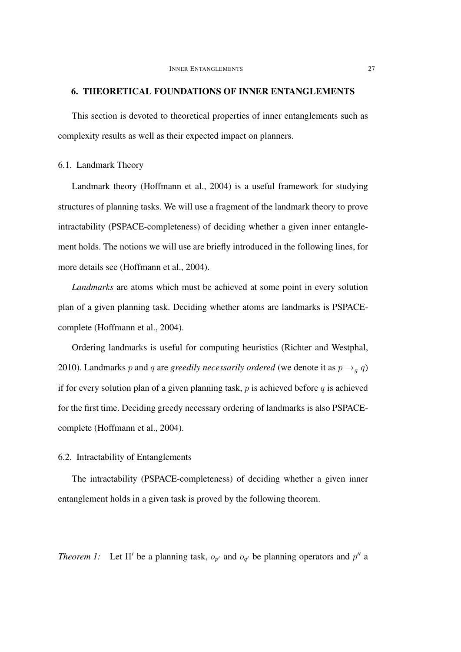## 6. THEORETICAL FOUNDATIONS OF INNER ENTANGLEMENTS

This section is devoted to theoretical properties of inner entanglements such as complexity results as well as their expected impact on planners.

### 6.1. Landmark Theory

Landmark theory (Hoffmann et al., 2004) is a useful framework for studying structures of planning tasks. We will use a fragment of the landmark theory to prove intractability (PSPACE-completeness) of deciding whether a given inner entanglement holds. The notions we will use are briefly introduced in the following lines, for more details see (Hoffmann et al., 2004).

*Landmarks* are atoms which must be achieved at some point in every solution plan of a given planning task. Deciding whether atoms are landmarks is PSPACEcomplete (Hoffmann et al., 2004).

Ordering landmarks is useful for computing heuristics (Richter and Westphal, 2010). Landmarks p and q are *greedily necessarily ordered* (we denote it as  $p \rightarrow_q q$ ) if for every solution plan of a given planning task,  $p$  is achieved before  $q$  is achieved for the first time. Deciding greedy necessary ordering of landmarks is also PSPACEcomplete (Hoffmann et al., 2004).

## 6.2. Intractability of Entanglements

The intractability (PSPACE-completeness) of deciding whether a given inner entanglement holds in a given task is proved by the following theorem.

*Theorem 1:* Let  $\Pi'$  be a planning task,  $o_{p'}$  and  $o_{q'}$  be planning operators and  $p''$  a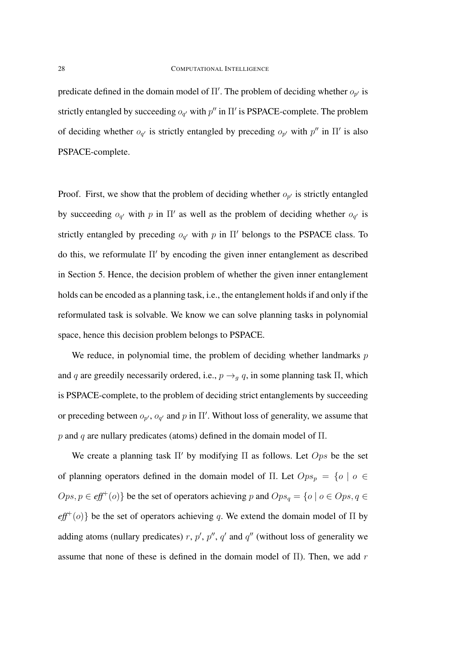predicate defined in the domain model of  $\Pi'$ . The problem of deciding whether  $o_{p'}$  is strictly entangled by succeeding  $o_{q'}$  with  $p''$  in  $\Pi'$  is PSPACE-complete. The problem of deciding whether  $o_{q'}$  is strictly entangled by preceding  $o_{p'}$  with  $p''$  in  $\Pi'$  is also PSPACE-complete.

Proof. First, we show that the problem of deciding whether  $o_{p'}$  is strictly entangled by succeeding  $o_{q'}$  with p in  $\Pi'$  as well as the problem of deciding whether  $o_{q'}$  is strictly entangled by preceding  $o_{q'}$  with p in  $\Pi'$  belongs to the PSPACE class. To do this, we reformulate  $\Pi'$  by encoding the given inner entanglement as described in Section 5. Hence, the decision problem of whether the given inner entanglement holds can be encoded as a planning task, i.e., the entanglement holds if and only if the reformulated task is solvable. We know we can solve planning tasks in polynomial space, hence this decision problem belongs to PSPACE.

We reduce, in polynomial time, the problem of deciding whether landmarks  $p$ and q are greedily necessarily ordered, i.e.,  $p \rightarrow_q q$ , in some planning task  $\Pi$ , which is PSPACE-complete, to the problem of deciding strict entanglements by succeeding or preceding between  $o_{p'}$ ,  $o_{q'}$  and p in  $\Pi'$ . Without loss of generality, we assume that p and q are nullary predicates (atoms) defined in the domain model of  $\Pi$ .

We create a planning task  $\Pi'$  by modifying  $\Pi$  as follows. Let  $Ops$  be the set of planning operators defined in the domain model of Π. Let  $Ops_p = \{o \mid o \in$  $Ops, p \in \text{eff}^+(o)$  be the set of operators achieving p and  $Ops_q = \{o \mid o \in Obs, q \in$  $\text{eff}^+(o)$ } be the set of operators achieving q. We extend the domain model of  $\Pi$  by adding atoms (nullary predicates) r,  $p'$ ,  $p''$ ,  $q'$  and  $q''$  (without loss of generality we assume that none of these is defined in the domain model of  $\Pi$ ). Then, we add r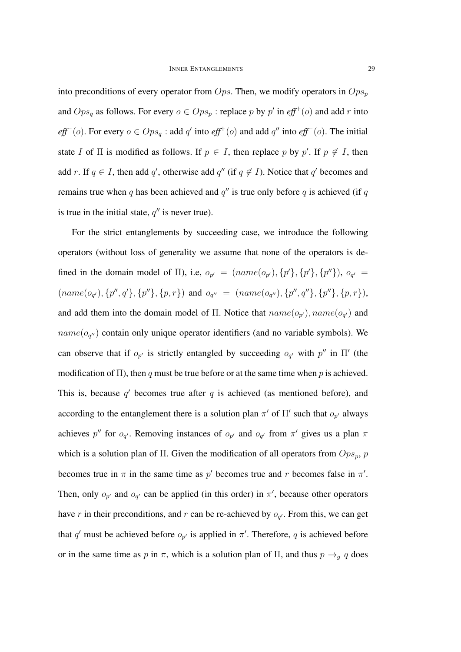into preconditions of every operator from  $Ops$ . Then, we modify operators in  $Ops_p$ and  $Ops_q$  as follows. For every  $o \in Opp_p$ : replace p by p' in  $eff^+(o)$  and add r into *eff*<sup>−</sup>(*o*). For every  $o \in Ops_q$ : add  $q'$  into *eff*<sup>+</sup>(*o*) and add  $q''$  into *eff*<sup>−</sup>(*o*). The initial state I of  $\Pi$  is modified as follows. If  $p \in I$ , then replace p by p'. If  $p \notin I$ , then add r. If  $q \in I$ , then add q', otherwise add q'' (if  $q \notin I$ ). Notice that q' becomes and remains true when q has been achieved and  $q''$  is true only before q is achieved (if q is true in the initial state,  $q''$  is never true).

For the strict entanglements by succeeding case, we introduce the following operators (without loss of generality we assume that none of the operators is defined in the domain model of  $\Pi$ ), i.e,  $o_{p'} = (name(o_{p'}), \{p'\}, \{p'\}, \{p''\})$ ,  $o_{q'} =$  $(name(o_{q'}), \{p'', q'\}, \{p''\}, \{p, r\})$  and  $o_{q''} = (name(o_{q''}), \{p'', q''\}, \{p''\}, \{p, r\}),$ and add them into the domain model of  $\Pi$ . Notice that  $name(o_{p'})$ ,  $name(o_{q'})$  and  $name(o_{q''})$  contain only unique operator identifiers (and no variable symbols). We can observe that if  $o_{p'}$  is strictly entangled by succeeding  $o_{q'}$  with  $p''$  in  $\Pi'$  (the modification of  $\Pi$ ), then q must be true before or at the same time when p is achieved. This is, because  $q'$  becomes true after q is achieved (as mentioned before), and according to the entanglement there is a solution plan  $\pi'$  of  $\Pi'$  such that  $o_{p'}$  always achieves p'' for  $o_{q'}$ . Removing instances of  $o_{p'}$  and  $o_{q'}$  from  $\pi'$  gives us a plan  $\pi$ which is a solution plan of Π. Given the modification of all operators from  $Ops_p$ , p becomes true in  $\pi$  in the same time as  $p'$  becomes true and r becomes false in  $\pi'$ . Then, only  $o_{p'}$  and  $o_{q'}$  can be applied (in this order) in  $\pi'$ , because other operators have r in their preconditions, and r can be re-achieved by  $o_{q'}$ . From this, we can get that q' must be achieved before  $o_{p'}$  is applied in  $\pi'$ . Therefore, q is achieved before or in the same time as p in  $\pi$ , which is a solution plan of  $\Pi$ , and thus  $p \rightarrow_q q$  does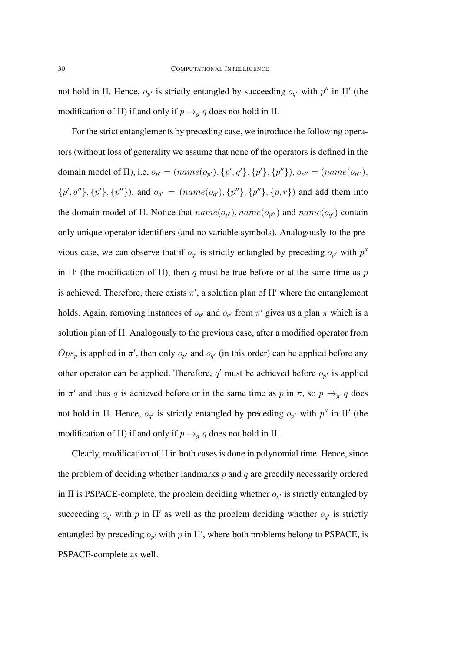not hold in Π. Hence,  $o_{p'}$  is strictly entangled by succeeding  $o_{q'}$  with  $p''$  in Π' (the modification of Π) if and only if  $p \rightarrow_q q$  does not hold in Π.

For the strict entanglements by preceding case, we introduce the following operators (without loss of generality we assume that none of the operators is defined in the domain model of  $\Pi$ ), i.e,  $o_{p'} = (name(o_{p'}), \{p', q'\}, \{p'\}, \{p''\}), o_{p''} = (name(o_{p''}),$  $\{p', q''\}, \{p'\}, \{p''\}\)$ , and  $o_{q'} = (name(o_{q'}), \{p''\}, \{p''\}, \{p, r\})$  and add them into the domain model of  $\Pi$ . Notice that  $name(o_{p'})$ ,  $name(o_{p''})$  and  $name(o_{q'})$  contain only unique operator identifiers (and no variable symbols). Analogously to the previous case, we can observe that if  $o_{q'}$  is strictly entangled by preceding  $o_{p'}$  with  $p''$ in  $\Pi'$  (the modification of  $\Pi$ ), then q must be true before or at the same time as p is achieved. Therefore, there exists  $\pi'$ , a solution plan of  $\Pi'$  where the entanglement holds. Again, removing instances of  $o_{p'}$  and  $o_{q'}$  from  $\pi'$  gives us a plan  $\pi$  which is a solution plan of Π. Analogously to the previous case, after a modified operator from  $Ops_p$  is applied in  $\pi'$ , then only  $o_{p'}$  and  $o_{q'}$  (in this order) can be applied before any other operator can be applied. Therefore,  $q'$  must be achieved before  $o_{p'}$  is applied in  $\pi'$  and thus q is achieved before or in the same time as p in  $\pi$ , so  $p \rightarrow_q q$  does not hold in Π. Hence,  $o_{q'}$  is strictly entangled by preceding  $o_{p'}$  with  $p''$  in Π' (the modification of Π) if and only if  $p \rightarrow_q q$  does not hold in Π.

Clearly, modification of  $\Pi$  in both cases is done in polynomial time. Hence, since the problem of deciding whether landmarks  $p$  and  $q$  are greedily necessarily ordered in  $\Pi$  is PSPACE-complete, the problem deciding whether  $o_{p'}$  is strictly entangled by succeeding  $o_{q'}$  with p in  $\Pi'$  as well as the problem deciding whether  $o_{q'}$  is strictly entangled by preceding  $o_{p'}$  with p in  $\Pi'$ , where both problems belong to PSPACE, is PSPACE-complete as well.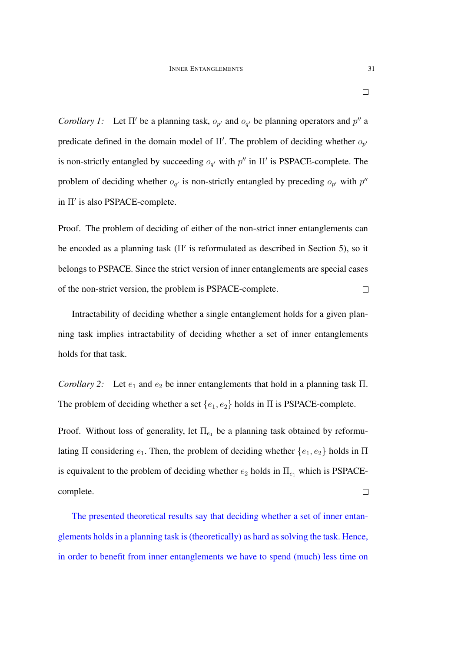*Corollary 1:* Let  $\Pi'$  be a planning task,  $o_{p'}$  and  $o_{q'}$  be planning operators and  $p''$  a predicate defined in the domain model of  $\Pi'$ . The problem of deciding whether  $o_{p'}$ is non-strictly entangled by succeeding  $o_{q'}$  with  $p''$  in  $\Pi'$  is PSPACE-complete. The problem of deciding whether  $o_{q'}$  is non-strictly entangled by preceding  $o_{p'}$  with  $p''$ in Π' is also PSPACE-complete.

Proof. The problem of deciding of either of the non-strict inner entanglements can be encoded as a planning task  $(\Pi'$  is reformulated as described in Section 5), so it belongs to PSPACE. Since the strict version of inner entanglements are special cases of the non-strict version, the problem is PSPACE-complete.  $\Box$ 

Intractability of deciding whether a single entanglement holds for a given planning task implies intractability of deciding whether a set of inner entanglements holds for that task.

*Corollary 2:* Let  $e_1$  and  $e_2$  be inner entanglements that hold in a planning task  $\Pi$ . The problem of deciding whether a set  $\{e_1, e_2\}$  holds in  $\Pi$  is PSPACE-complete.

Proof. Without loss of generality, let  $\Pi_{e_1}$  be a planning task obtained by reformulating  $\Pi$  considering  $e_1$ . Then, the problem of deciding whether  $\{e_1, e_2\}$  holds in  $\Pi$ is equivalent to the problem of deciding whether  $e_2$  holds in  $\Pi_{e_1}$  which is PSPACEcomplete.  $\Box$ 

The presented theoretical results say that deciding whether a set of inner entanglements holds in a planning task is (theoretically) as hard as solving the task. Hence, in order to benefit from inner entanglements we have to spend (much) less time on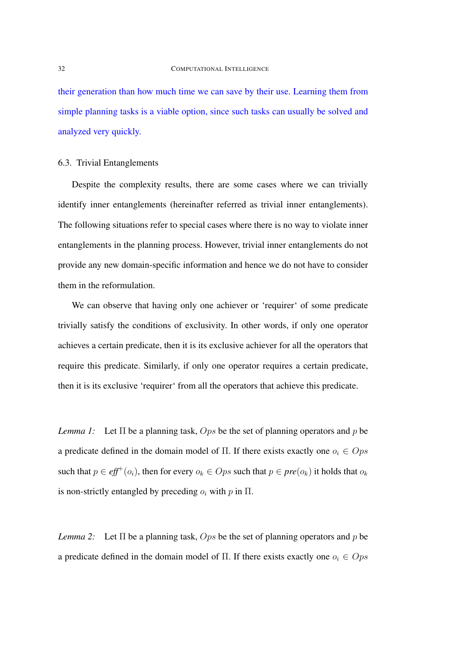their generation than how much time we can save by their use. Learning them from simple planning tasks is a viable option, since such tasks can usually be solved and analyzed very quickly.

### 6.3. Trivial Entanglements

Despite the complexity results, there are some cases where we can trivially identify inner entanglements (hereinafter referred as trivial inner entanglements). The following situations refer to special cases where there is no way to violate inner entanglements in the planning process. However, trivial inner entanglements do not provide any new domain-specific information and hence we do not have to consider them in the reformulation.

We can observe that having only one achiever or 'requirer' of some predicate trivially satisfy the conditions of exclusivity. In other words, if only one operator achieves a certain predicate, then it is its exclusive achiever for all the operators that require this predicate. Similarly, if only one operator requires a certain predicate, then it is its exclusive 'requirer' from all the operators that achieve this predicate.

*Lemma 1:* Let  $\Pi$  be a planning task,  $Ops$  be the set of planning operators and p be a predicate defined in the domain model of Π. If there exists exactly one  $o_i \in Ops$ such that  $p \in \text{eff}^+(o_i)$ , then for every  $o_k \in Ops$  such that  $p \in \text{pre}(o_k)$  it holds that  $o_k$ is non-strictly entangled by preceding  $o_i$  with p in  $\Pi$ .

*Lemma 2:* Let  $\Pi$  be a planning task,  $Ops$  be the set of planning operators and p be a predicate defined in the domain model of Π. If there exists exactly one  $o_i \in Ops$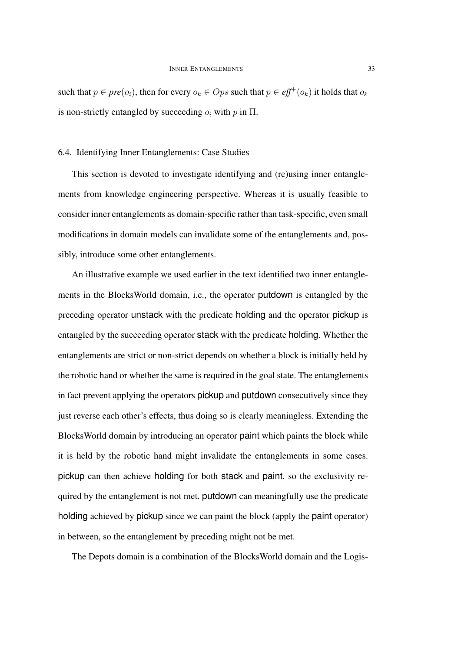such that  $p \in pre(o_i)$ , then for every  $o_k \in Ops$  such that  $p \in \textit{eff}^+(o_k)$  it holds that  $o_k$ is non-strictly entangled by succeeding  $o_i$  with p in  $\Pi$ .

### 6.4. Identifying Inner Entanglements: Case Studies

This section is devoted to investigate identifying and (re)using inner entanglements from knowledge engineering perspective. Whereas it is usually feasible to consider inner entanglements as domain-specific rather than task-specific, even small modifications in domain models can invalidate some of the entanglements and, possibly, introduce some other entanglements.

An illustrative example we used earlier in the text identified two inner entanglements in the BlocksWorld domain, i.e., the operator putdown is entangled by the preceding operator unstack with the predicate holding and the operator pickup is entangled by the succeeding operator stack with the predicate holding. Whether the entanglements are strict or non-strict depends on whether a block is initially held by the robotic hand or whether the same is required in the goal state. The entanglements in fact prevent applying the operators pickup and putdown consecutively since they just reverse each other's effects, thus doing so is clearly meaningless. Extending the BlocksWorld domain by introducing an operator paint which paints the block while it is held by the robotic hand might invalidate the entanglements in some cases. pickup can then achieve holding for both stack and paint, so the exclusivity required by the entanglement is not met. putdown can meaningfully use the predicate holding achieved by pickup since we can paint the block (apply the paint operator) in between, so the entanglement by preceding might not be met.

The Depots domain is a combination of the BlocksWorld domain and the Logis-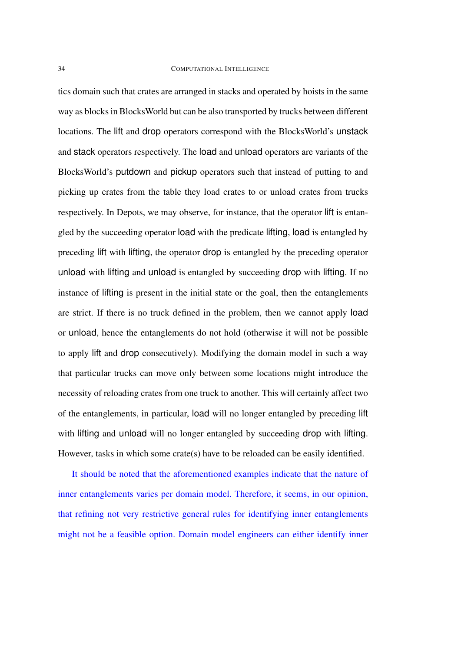### 34 COMPUTATIONAL INTELLIGENCE

tics domain such that crates are arranged in stacks and operated by hoists in the same way as blocks in BlocksWorld but can be also transported by trucks between different locations. The lift and drop operators correspond with the BlocksWorld's unstack and stack operators respectively. The load and unload operators are variants of the BlocksWorld's putdown and pickup operators such that instead of putting to and picking up crates from the table they load crates to or unload crates from trucks respectively. In Depots, we may observe, for instance, that the operator lift is entangled by the succeeding operator load with the predicate lifting, load is entangled by preceding lift with lifting, the operator drop is entangled by the preceding operator unload with lifting and unload is entangled by succeeding drop with lifting. If no instance of lifting is present in the initial state or the goal, then the entanglements are strict. If there is no truck defined in the problem, then we cannot apply load or unload, hence the entanglements do not hold (otherwise it will not be possible to apply lift and drop consecutively). Modifying the domain model in such a way that particular trucks can move only between some locations might introduce the necessity of reloading crates from one truck to another. This will certainly affect two of the entanglements, in particular, load will no longer entangled by preceding lift with lifting and unload will no longer entangled by succeeding drop with lifting. However, tasks in which some crate(s) have to be reloaded can be easily identified.

It should be noted that the aforementioned examples indicate that the nature of inner entanglements varies per domain model. Therefore, it seems, in our opinion, that refining not very restrictive general rules for identifying inner entanglements might not be a feasible option. Domain model engineers can either identify inner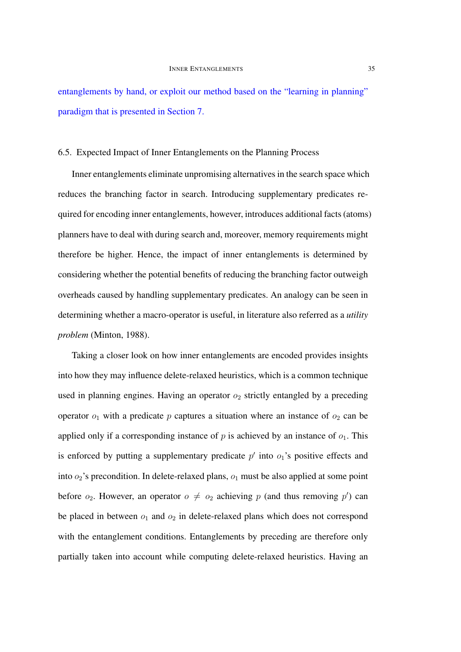entanglements by hand, or exploit our method based on the "learning in planning" paradigm that is presented in Section 7.

### 6.5. Expected Impact of Inner Entanglements on the Planning Process

Inner entanglements eliminate unpromising alternatives in the search space which reduces the branching factor in search. Introducing supplementary predicates required for encoding inner entanglements, however, introduces additional facts (atoms) planners have to deal with during search and, moreover, memory requirements might therefore be higher. Hence, the impact of inner entanglements is determined by considering whether the potential benefits of reducing the branching factor outweigh overheads caused by handling supplementary predicates. An analogy can be seen in determining whether a macro-operator is useful, in literature also referred as a *utility problem* (Minton, 1988).

Taking a closer look on how inner entanglements are encoded provides insights into how they may influence delete-relaxed heuristics, which is a common technique used in planning engines. Having an operator  $o_2$  strictly entangled by a preceding operator  $o_1$  with a predicate p captures a situation where an instance of  $o_2$  can be applied only if a corresponding instance of p is achieved by an instance of  $o_1$ . This is enforced by putting a supplementary predicate  $p'$  into  $o_1$ 's positive effects and into  $o_2$ 's precondition. In delete-relaxed plans,  $o_1$  must be also applied at some point before  $o_2$ . However, an operator  $o \neq o_2$  achieving p (and thus removing p') can be placed in between  $o_1$  and  $o_2$  in delete-relaxed plans which does not correspond with the entanglement conditions. Entanglements by preceding are therefore only partially taken into account while computing delete-relaxed heuristics. Having an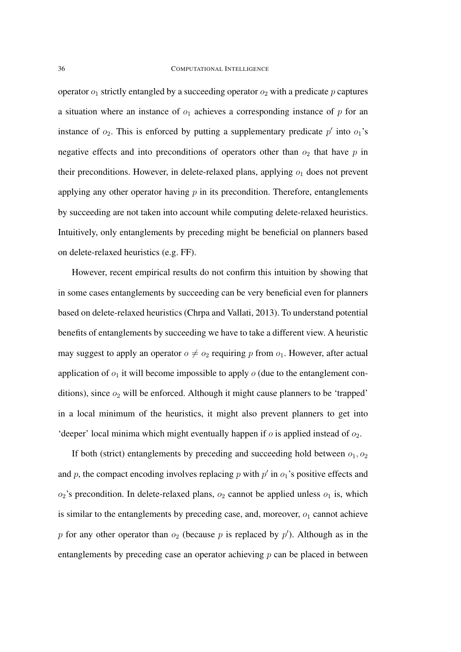operator  $o_1$  strictly entangled by a succeeding operator  $o_2$  with a predicate p captures a situation where an instance of  $o_1$  achieves a corresponding instance of p for an instance of  $o_2$ . This is enforced by putting a supplementary predicate  $p'$  into  $o_1$ 's negative effects and into preconditions of operators other than  $o_2$  that have p in their preconditions. However, in delete-relaxed plans, applying  $o_1$  does not prevent applying any other operator having  $p$  in its precondition. Therefore, entanglements by succeeding are not taken into account while computing delete-relaxed heuristics. Intuitively, only entanglements by preceding might be beneficial on planners based on delete-relaxed heuristics (e.g. FF).

However, recent empirical results do not confirm this intuition by showing that in some cases entanglements by succeeding can be very beneficial even for planners based on delete-relaxed heuristics (Chrpa and Vallati, 2013). To understand potential benefits of entanglements by succeeding we have to take a different view. A heuristic may suggest to apply an operator  $o \neq o_2$  requiring p from  $o_1$ . However, after actual application of  $o_1$  it will become impossible to apply  $o$  (due to the entanglement conditions), since  $o_2$  will be enforced. Although it might cause planners to be 'trapped' in a local minimum of the heuristics, it might also prevent planners to get into 'deeper' local minima which might eventually happen if  $o$  is applied instead of  $o_2$ .

If both (strict) entanglements by preceding and succeeding hold between  $o_1, o_2$ and p, the compact encoding involves replacing p with  $p'$  in  $o_1$ 's positive effects and  $o_2$ 's precondition. In delete-relaxed plans,  $o_2$  cannot be applied unless  $o_1$  is, which is similar to the entanglements by preceding case, and, moreover,  $o_1$  cannot achieve p for any other operator than  $o_2$  (because p is replaced by  $p'$ ). Although as in the entanglements by preceding case an operator achieving  $p$  can be placed in between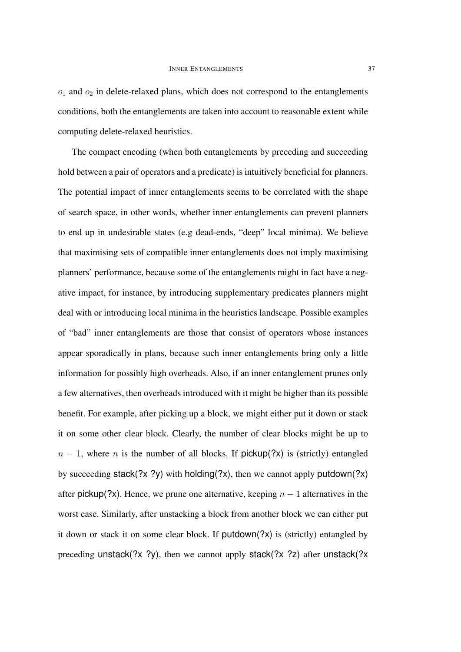$o_1$  and  $o_2$  in delete-relaxed plans, which does not correspond to the entanglements conditions, both the entanglements are taken into account to reasonable extent while computing delete-relaxed heuristics.

The compact encoding (when both entanglements by preceding and succeeding hold between a pair of operators and a predicate) is intuitively beneficial for planners. The potential impact of inner entanglements seems to be correlated with the shape of search space, in other words, whether inner entanglements can prevent planners to end up in undesirable states (e.g dead-ends, "deep" local minima). We believe that maximising sets of compatible inner entanglements does not imply maximising planners' performance, because some of the entanglements might in fact have a negative impact, for instance, by introducing supplementary predicates planners might deal with or introducing local minima in the heuristics landscape. Possible examples of "bad" inner entanglements are those that consist of operators whose instances appear sporadically in plans, because such inner entanglements bring only a little information for possibly high overheads. Also, if an inner entanglement prunes only a few alternatives, then overheads introduced with it might be higher than its possible benefit. For example, after picking up a block, we might either put it down or stack it on some other clear block. Clearly, the number of clear blocks might be up to  $n - 1$ , where n is the number of all blocks. If pickup(?x) is (strictly) entangled by succeeding stack(?x ?y) with holding(?x), then we cannot apply putdown(?x) after pickup(?x). Hence, we prune one alternative, keeping  $n - 1$  alternatives in the worst case. Similarly, after unstacking a block from another block we can either put it down or stack it on some clear block. If putdown(?x) is (strictly) entangled by preceding unstack(?x ?y), then we cannot apply stack(?x ?z) after unstack(?x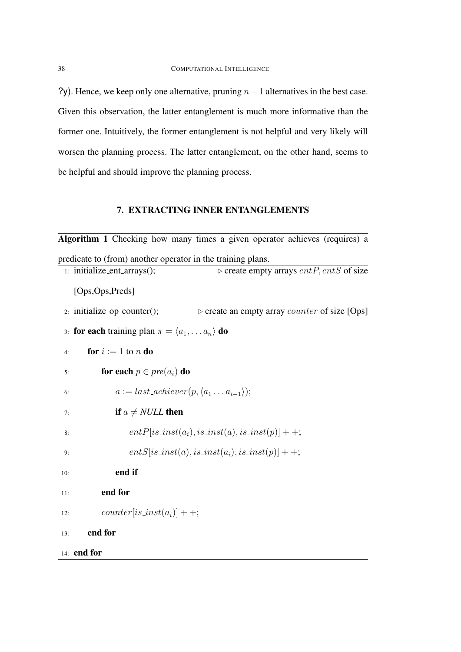?y). Hence, we keep only one alternative, pruning  $n-1$  alternatives in the best case. Given this observation, the latter entanglement is much more informative than the former one. Intuitively, the former entanglement is not helpful and very likely will worsen the planning process. The latter entanglement, on the other hand, seems to be helpful and should improve the planning process.

## 7. EXTRACTING INNER ENTANGLEMENTS

| Algorithm 1 Checking how many times a given operator achieves (requires) a                         |
|----------------------------------------------------------------------------------------------------|
| predicate to (from) another operator in the training plans.                                        |
| $\triangleright$ create empty arrays entP, entS of size<br>1: initialize_ent_arrays();             |
| [Ops,Ops,Preds]                                                                                    |
| 2: initialize_op_counter();<br>$\triangleright$ create an empty array <i>counter</i> of size [Ops] |
| 3: <b>for each</b> training plan $\pi = \langle a_1, \dots a_n \rangle$ <b>do</b>                  |
| for $i := 1$ to n do<br>4:                                                                         |
| for each $p \in pre(a_i)$ do<br>5:                                                                 |
| $a := last\_achieve(r, \langle a_1 \ldots a_{i-1} \rangle);$<br>6:                                 |
| if $a \neq NULL$ then<br>7:                                                                        |
| $entP[is_inst(a_i), is_inst(a), is_inst(p)]++;$<br>8:                                              |
| $entS[is_inst(a), is_inst(a_i), is_inst(p)] + +;$<br>9:                                            |
| end if<br>10:                                                                                      |
| end for<br>11:                                                                                     |
| $counter[is_inst(a_i)] + +;$<br>12:                                                                |
| end for<br>13:                                                                                     |
| 14: end for                                                                                        |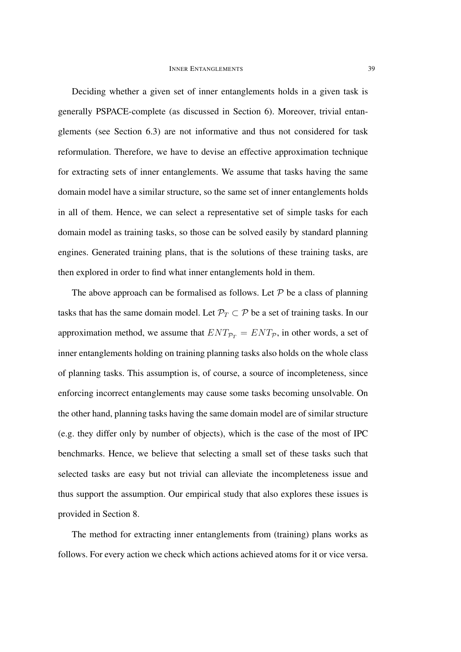Deciding whether a given set of inner entanglements holds in a given task is generally PSPACE-complete (as discussed in Section 6). Moreover, trivial entanglements (see Section 6.3) are not informative and thus not considered for task reformulation. Therefore, we have to devise an effective approximation technique for extracting sets of inner entanglements. We assume that tasks having the same domain model have a similar structure, so the same set of inner entanglements holds in all of them. Hence, we can select a representative set of simple tasks for each domain model as training tasks, so those can be solved easily by standard planning engines. Generated training plans, that is the solutions of these training tasks, are then explored in order to find what inner entanglements hold in them.

The above approach can be formalised as follows. Let  $P$  be a class of planning tasks that has the same domain model. Let  $\mathcal{P}_T \subset \mathcal{P}$  be a set of training tasks. In our approximation method, we assume that  $ENT_{\mathcal{P}_T} = ENT_{\mathcal{P}}$ , in other words, a set of inner entanglements holding on training planning tasks also holds on the whole class of planning tasks. This assumption is, of course, a source of incompleteness, since enforcing incorrect entanglements may cause some tasks becoming unsolvable. On the other hand, planning tasks having the same domain model are of similar structure (e.g. they differ only by number of objects), which is the case of the most of IPC benchmarks. Hence, we believe that selecting a small set of these tasks such that selected tasks are easy but not trivial can alleviate the incompleteness issue and thus support the assumption. Our empirical study that also explores these issues is provided in Section 8.

The method for extracting inner entanglements from (training) plans works as follows. For every action we check which actions achieved atoms for it or vice versa.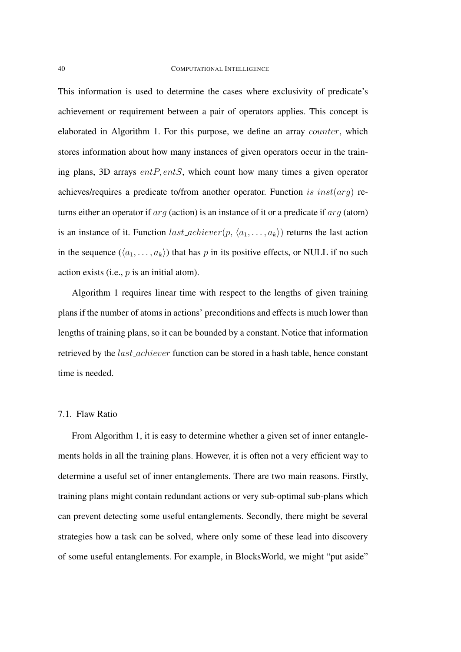This information is used to determine the cases where exclusivity of predicate's achievement or requirement between a pair of operators applies. This concept is elaborated in Algorithm 1. For this purpose, we define an array counter, which stores information about how many instances of given operators occur in the training plans, 3D arrays  $entP, entS$ , which count how many times a given operator achieves/requires a predicate to/from another operator. Function  $is{\text{ }}.inst(arq)$  returns either an operator if  $arg$  (action) is an instance of it or a predicate if  $arg$  (atom) is an instance of it. Function  $last\_achieve(p, \langle a_1, \ldots, a_k \rangle)$  returns the last action in the sequence  $(\langle a_1, \ldots, a_k \rangle)$  that has p in its positive effects, or NULL if no such action exists (i.e.,  $p$  is an initial atom).

Algorithm 1 requires linear time with respect to the lengths of given training plans if the number of atoms in actions' preconditions and effects is much lower than lengths of training plans, so it can be bounded by a constant. Notice that information retrieved by the last achiever function can be stored in a hash table, hence constant time is needed.

### 7.1. Flaw Ratio

From Algorithm 1, it is easy to determine whether a given set of inner entanglements holds in all the training plans. However, it is often not a very efficient way to determine a useful set of inner entanglements. There are two main reasons. Firstly, training plans might contain redundant actions or very sub-optimal sub-plans which can prevent detecting some useful entanglements. Secondly, there might be several strategies how a task can be solved, where only some of these lead into discovery of some useful entanglements. For example, in BlocksWorld, we might "put aside"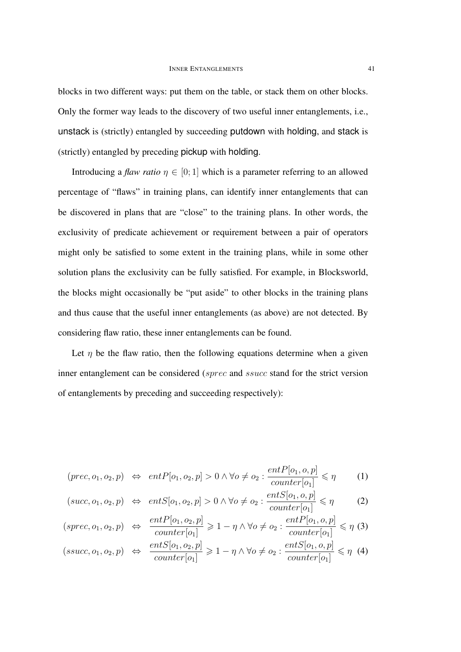blocks in two different ways: put them on the table, or stack them on other blocks. Only the former way leads to the discovery of two useful inner entanglements, i.e., unstack is (strictly) entangled by succeeding putdown with holding, and stack is (strictly) entangled by preceding pickup with holding.

Introducing a *flaw ratio*  $\eta \in [0, 1]$  which is a parameter referring to an allowed percentage of "flaws" in training plans, can identify inner entanglements that can be discovered in plans that are "close" to the training plans. In other words, the exclusivity of predicate achievement or requirement between a pair of operators might only be satisfied to some extent in the training plans, while in some other solution plans the exclusivity can be fully satisfied. For example, in Blocksworld, the blocks might occasionally be "put aside" to other blocks in the training plans and thus cause that the useful inner entanglements (as above) are not detected. By considering flaw ratio, these inner entanglements can be found.

Let  $\eta$  be the flaw ratio, then the following equations determine when a given inner entanglement can be considered (sprec and ssucc stand for the strict version of entanglements by preceding and succeeding respectively):

$$
(prec, o_1, o_2, p) \Leftrightarrow entP[o_1, o_2, p] > 0 \land \forall o \neq o_2 : \frac{entP[o_1, o, p]}{counter[o_1]} \leq \eta
$$
 (1)

$$
(succ, o_1, o_2, p) \Leftrightarrow entS[o_1, o_2, p] > 0 \land \forall o \neq o_2 : \frac{entS[o_1, o, p]}{counter[o_1]} \leq \eta
$$
 (2)

$$
(spec, o_1, o_2, p) \Leftrightarrow \frac{entP[o_1, o_2, p]}{counter[o_1]} \ge 1 - \eta \wedge \forall o \ne o_2 : \frac{entP[o_1, o, p]}{counter[o_1]} \le \eta \tag{3}
$$

$$
(ssucc, o_1, o_2, p) \Leftrightarrow \frac{ent \cup [o_1, o_2, p]}{counter[o_1]} \geq 1 - \eta \wedge \forall o \neq o_2 : \frac{ent \cup [o_1, o, p]}{counter[o_1]} \leq \eta \tag{4}
$$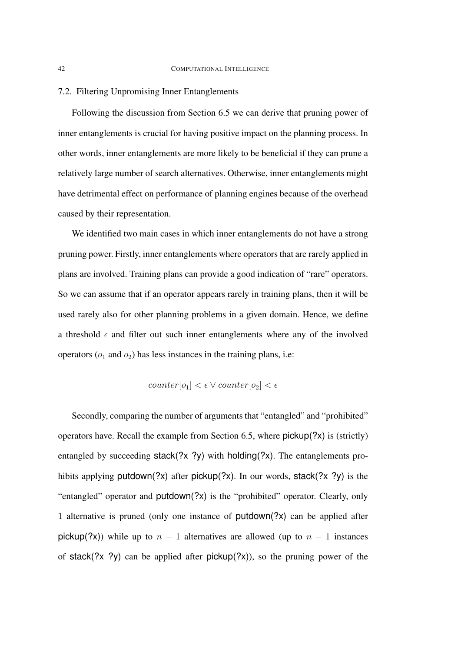### 7.2. Filtering Unpromising Inner Entanglements

Following the discussion from Section 6.5 we can derive that pruning power of inner entanglements is crucial for having positive impact on the planning process. In other words, inner entanglements are more likely to be beneficial if they can prune a relatively large number of search alternatives. Otherwise, inner entanglements might have detrimental effect on performance of planning engines because of the overhead caused by their representation.

We identified two main cases in which inner entanglements do not have a strong pruning power. Firstly, inner entanglements where operators that are rarely applied in plans are involved. Training plans can provide a good indication of "rare" operators. So we can assume that if an operator appears rarely in training plans, then it will be used rarely also for other planning problems in a given domain. Hence, we define a threshold  $\epsilon$  and filter out such inner entanglements where any of the involved operators ( $o_1$  and  $o_2$ ) has less instances in the training plans, i.e:

$$
counter[o_1] < \epsilon \lor counter[o_2] < \epsilon
$$

Secondly, comparing the number of arguments that "entangled" and "prohibited" operators have. Recall the example from Section 6.5, where pickup(?x) is (strictly) entangled by succeeding stack(?x ?y) with holding(?x). The entanglements prohibits applying putdown(?x) after pickup(?x). In our words, stack(?x ?y) is the "entangled" operator and putdown(?x) is the "prohibited" operator. Clearly, only 1 alternative is pruned (only one instance of putdown(?x) can be applied after pickup(?x)) while up to  $n - 1$  alternatives are allowed (up to  $n - 1$  instances of stack(?x ?y) can be applied after  $pickup(?x)$ ), so the pruning power of the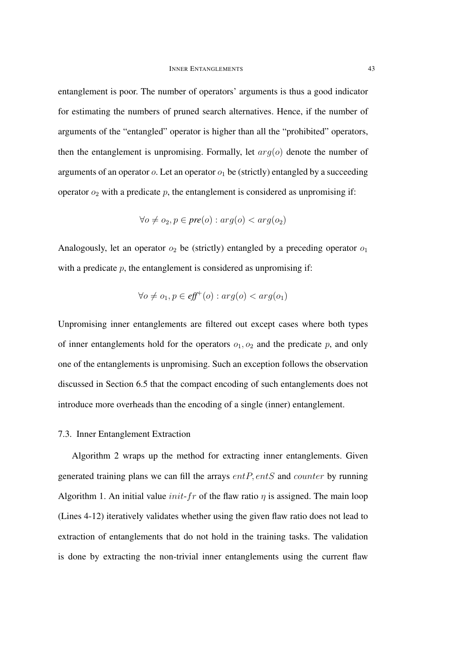entanglement is poor. The number of operators' arguments is thus a good indicator for estimating the numbers of pruned search alternatives. Hence, if the number of arguments of the "entangled" operator is higher than all the "prohibited" operators, then the entanglement is unpromising. Formally, let  $arg(o)$  denote the number of arguments of an operator  $o$ . Let an operator  $o_1$  be (strictly) entangled by a succeeding operator  $o_2$  with a predicate p, the entanglement is considered as unpromising if:

$$
\forall o \neq o_2, p \in pre(o) : arg(o) < arg(o_2)
$$

Analogously, let an operator  $o_2$  be (strictly) entangled by a preceding operator  $o_1$ with a predicate  $p$ , the entanglement is considered as unpromising if:

$$
\forall o \neq o_1, p \in \textit{eff}^+(o) : \textit{arg}(o) < \textit{arg}(o_1)
$$

Unpromising inner entanglements are filtered out except cases where both types of inner entanglements hold for the operators  $o_1, o_2$  and the predicate p, and only one of the entanglements is unpromising. Such an exception follows the observation discussed in Section 6.5 that the compact encoding of such entanglements does not introduce more overheads than the encoding of a single (inner) entanglement.

### 7.3. Inner Entanglement Extraction

Algorithm 2 wraps up the method for extracting inner entanglements. Given generated training plans we can fill the arrays  $entP, entS$  and counter by running Algorithm 1. An initial value *init-fr* of the flaw ratio  $\eta$  is assigned. The main loop (Lines 4-12) iteratively validates whether using the given flaw ratio does not lead to extraction of entanglements that do not hold in the training tasks. The validation is done by extracting the non-trivial inner entanglements using the current flaw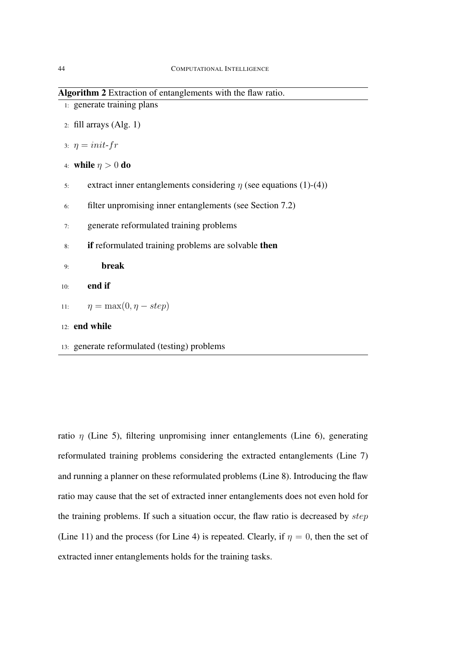Algorithm 2 Extraction of entanglements with the flaw ratio.

- 1: generate training plans
- 2: fill arrays  $(Alg. 1)$
- 3:  $\eta = init-fr$
- 4: while  $\eta > 0$  do
- 5: extract inner entanglements considering  $\eta$  (see equations (1)-(4))
- 6: filter unpromising inner entanglements (see Section 7.2)
- 7: generate reformulated training problems
- 8: if reformulated training problems are solvable then

9: break

- 10: end if
- 11:  $\eta = \max(0, \eta step)$
- 12: end while
- 13: generate reformulated (testing) problems

ratio  $\eta$  (Line 5), filtering unpromising inner entanglements (Line 6), generating reformulated training problems considering the extracted entanglements (Line 7) and running a planner on these reformulated problems (Line 8). Introducing the flaw ratio may cause that the set of extracted inner entanglements does not even hold for the training problems. If such a situation occur, the flaw ratio is decreased by step (Line 11) and the process (for Line 4) is repeated. Clearly, if  $\eta = 0$ , then the set of extracted inner entanglements holds for the training tasks.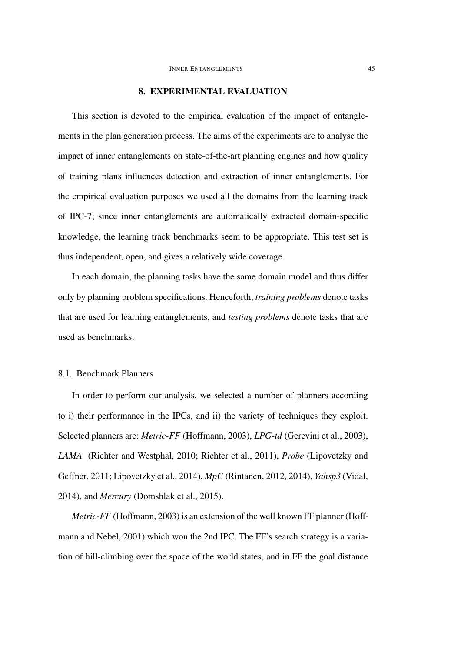### 8. EXPERIMENTAL EVALUATION

This section is devoted to the empirical evaluation of the impact of entanglements in the plan generation process. The aims of the experiments are to analyse the impact of inner entanglements on state-of-the-art planning engines and how quality of training plans influences detection and extraction of inner entanglements. For the empirical evaluation purposes we used all the domains from the learning track of IPC-7; since inner entanglements are automatically extracted domain-specific knowledge, the learning track benchmarks seem to be appropriate. This test set is thus independent, open, and gives a relatively wide coverage.

In each domain, the planning tasks have the same domain model and thus differ only by planning problem specifications. Henceforth, *training problems* denote tasks that are used for learning entanglements, and *testing problems* denote tasks that are used as benchmarks.

### 8.1. Benchmark Planners

In order to perform our analysis, we selected a number of planners according to i) their performance in the IPCs, and ii) the variety of techniques they exploit. Selected planners are: *Metric-FF* (Hoffmann, 2003), *LPG-td* (Gerevini et al., 2003), *LAMA* (Richter and Westphal, 2010; Richter et al., 2011), *Probe* (Lipovetzky and Geffner, 2011; Lipovetzky et al., 2014), *MpC* (Rintanen, 2012, 2014), *Yahsp3* (Vidal, 2014), and *Mercury* (Domshlak et al., 2015).

*Metric-FF* (Hoffmann, 2003) is an extension of the well known FF planner (Hoffmann and Nebel, 2001) which won the 2nd IPC. The FF's search strategy is a variation of hill-climbing over the space of the world states, and in FF the goal distance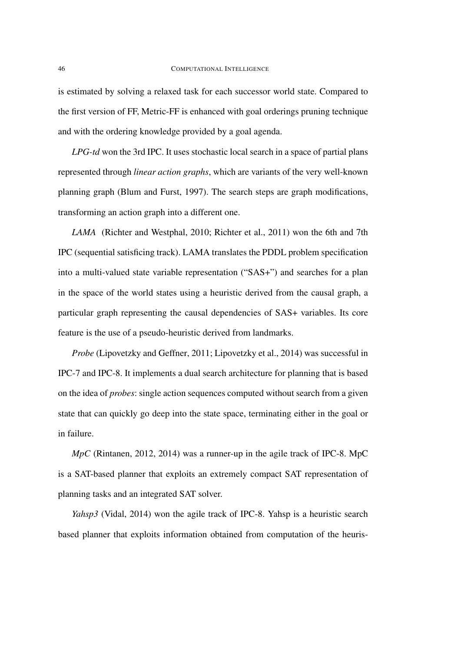is estimated by solving a relaxed task for each successor world state. Compared to the first version of FF, Metric-FF is enhanced with goal orderings pruning technique and with the ordering knowledge provided by a goal agenda.

*LPG-td* won the 3rd IPC. It uses stochastic local search in a space of partial plans represented through *linear action graphs*, which are variants of the very well-known planning graph (Blum and Furst, 1997). The search steps are graph modifications, transforming an action graph into a different one.

*LAMA* (Richter and Westphal, 2010; Richter et al., 2011) won the 6th and 7th IPC (sequential satisficing track). LAMA translates the PDDL problem specification into a multi-valued state variable representation ("SAS+") and searches for a plan in the space of the world states using a heuristic derived from the causal graph, a particular graph representing the causal dependencies of SAS+ variables. Its core feature is the use of a pseudo-heuristic derived from landmarks.

*Probe* (Lipovetzky and Geffner, 2011; Lipovetzky et al., 2014) was successful in IPC-7 and IPC-8. It implements a dual search architecture for planning that is based on the idea of *probes*: single action sequences computed without search from a given state that can quickly go deep into the state space, terminating either in the goal or in failure.

*MpC* (Rintanen, 2012, 2014) was a runner-up in the agile track of IPC-8. MpC is a SAT-based planner that exploits an extremely compact SAT representation of planning tasks and an integrated SAT solver.

*Yahsp3* (Vidal, 2014) won the agile track of IPC-8. Yahsp is a heuristic search based planner that exploits information obtained from computation of the heuris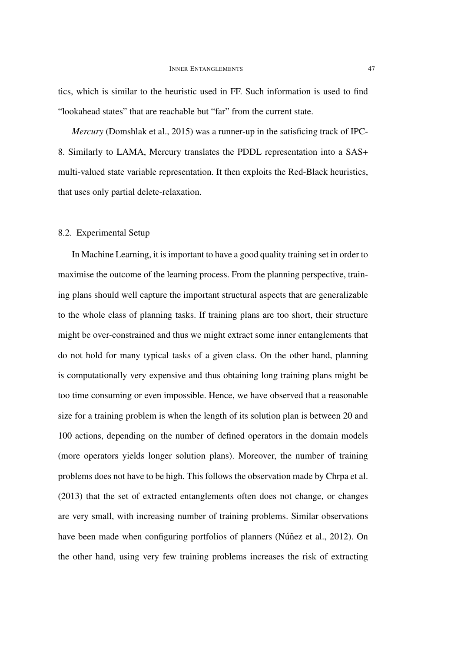tics, which is similar to the heuristic used in FF. Such information is used to find "lookahead states" that are reachable but "far" from the current state.

*Mercury* (Domshlak et al., 2015) was a runner-up in the satisficing track of IPC-8. Similarly to LAMA, Mercury translates the PDDL representation into a SAS+ multi-valued state variable representation. It then exploits the Red-Black heuristics, that uses only partial delete-relaxation.

## 8.2. Experimental Setup

In Machine Learning, it is important to have a good quality training set in order to maximise the outcome of the learning process. From the planning perspective, training plans should well capture the important structural aspects that are generalizable to the whole class of planning tasks. If training plans are too short, their structure might be over-constrained and thus we might extract some inner entanglements that do not hold for many typical tasks of a given class. On the other hand, planning is computationally very expensive and thus obtaining long training plans might be too time consuming or even impossible. Hence, we have observed that a reasonable size for a training problem is when the length of its solution plan is between 20 and 100 actions, depending on the number of defined operators in the domain models (more operators yields longer solution plans). Moreover, the number of training problems does not have to be high. This follows the observation made by Chrpa et al. (2013) that the set of extracted entanglements often does not change, or changes are very small, with increasing number of training problems. Similar observations have been made when configuring portfolios of planners (Núñez et al., 2012). On the other hand, using very few training problems increases the risk of extracting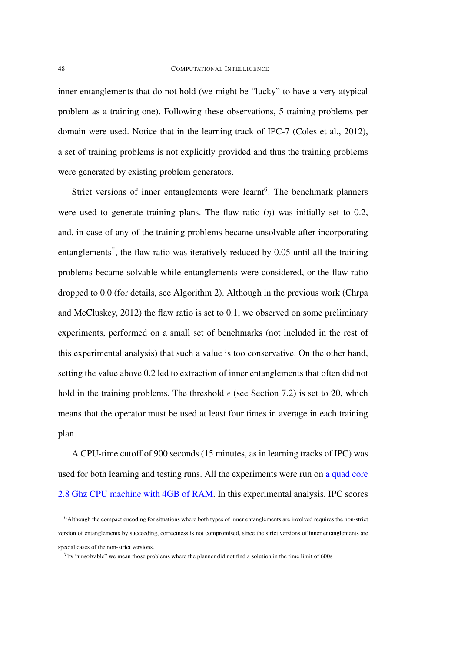inner entanglements that do not hold (we might be "lucky" to have a very atypical problem as a training one). Following these observations, 5 training problems per domain were used. Notice that in the learning track of IPC-7 (Coles et al., 2012), a set of training problems is not explicitly provided and thus the training problems were generated by existing problem generators.

Strict versions of inner entanglements were learnt<sup>6</sup>. The benchmark planners were used to generate training plans. The flaw ratio  $(\eta)$  was initially set to 0.2, and, in case of any of the training problems became unsolvable after incorporating entanglements<sup>7</sup>, the flaw ratio was iteratively reduced by 0.05 until all the training problems became solvable while entanglements were considered, or the flaw ratio dropped to 0.0 (for details, see Algorithm 2). Although in the previous work (Chrpa and McCluskey, 2012) the flaw ratio is set to 0.1, we observed on some preliminary experiments, performed on a small set of benchmarks (not included in the rest of this experimental analysis) that such a value is too conservative. On the other hand, setting the value above 0.2 led to extraction of inner entanglements that often did not hold in the training problems. The threshold  $\epsilon$  (see Section 7.2) is set to 20, which means that the operator must be used at least four times in average in each training plan.

A CPU-time cutoff of 900 seconds (15 minutes, as in learning tracks of IPC) was used for both learning and testing runs. All the experiments were run on a quad core 2.8 Ghz CPU machine with 4GB of RAM. In this experimental analysis, IPC scores

<sup>6</sup>Although the compact encoding for situations where both types of inner entanglements are involved requires the non-strict version of entanglements by succeeding, correctness is not compromised, since the strict versions of inner entanglements are special cases of the non-strict versions.

<sup>7</sup>by "unsolvable" we mean those problems where the planner did not find a solution in the time limit of 600s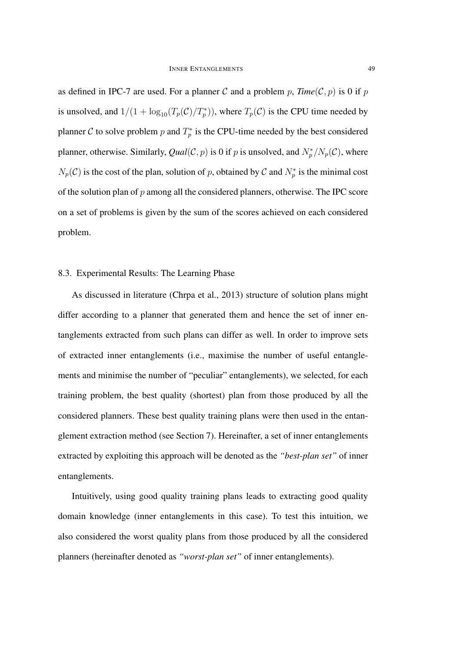as defined in IPC-7 are used. For a planner C and a problem p,  $Time(\mathcal{C}, p)$  is 0 if p is unsolved, and  $1/(1 + \log_{10}(T_p(\mathcal{C})/T_p^*))$ , where  $T_p(\mathcal{C})$  is the CPU time needed by planner C to solve problem p and  $T_p^*$  is the CPU-time needed by the best considered planner, otherwise. Similarly, *Qual*(*C*, *p*) is 0 if *p* is unsolved, and  $N_p^*/N_p(\mathcal{C})$ , where  $N_p(\mathcal{C})$  is the cost of the plan, solution of p, obtained by  $\mathcal{C}$  and  $N_p^*$  is the minimal cost of the solution plan of  $p$  among all the considered planners, otherwise. The IPC score on a set of problems is given by the sum of the scores achieved on each considered problem.

### 8.3. Experimental Results: The Learning Phase

As discussed in literature (Chrpa et al., 2013) structure of solution plans might differ according to a planner that generated them and hence the set of inner entanglements extracted from such plans can differ as well. In order to improve sets of extracted inner entanglements (i.e., maximise the number of useful entanglements and minimise the number of "peculiar" entanglements), we selected, for each training problem, the best quality (shortest) plan from those produced by all the considered planners. These best quality training plans were then used in the entanglement extraction method (see Section 7). Hereinafter, a set of inner entanglements extracted by exploiting this approach will be denoted as the *"best-plan set"* of inner entanglements.

Intuitively, using good quality training plans leads to extracting good quality domain knowledge (inner entanglements in this case). To test this intuition, we also considered the worst quality plans from those produced by all the considered planners (hereinafter denoted as *"worst-plan set"* of inner entanglements).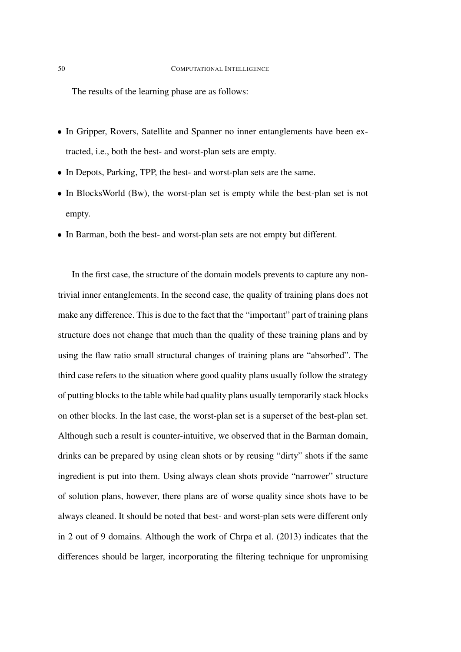The results of the learning phase are as follows:

- In Gripper, Rovers, Satellite and Spanner no inner entanglements have been extracted, i.e., both the best- and worst-plan sets are empty.
- In Depots, Parking, TPP, the best- and worst-plan sets are the same.
- In BlocksWorld (Bw), the worst-plan set is empty while the best-plan set is not empty.
- In Barman, both the best- and worst-plan sets are not empty but different.

In the first case, the structure of the domain models prevents to capture any nontrivial inner entanglements. In the second case, the quality of training plans does not make any difference. This is due to the fact that the "important" part of training plans structure does not change that much than the quality of these training plans and by using the flaw ratio small structural changes of training plans are "absorbed". The third case refers to the situation where good quality plans usually follow the strategy of putting blocks to the table while bad quality plans usually temporarily stack blocks on other blocks. In the last case, the worst-plan set is a superset of the best-plan set. Although such a result is counter-intuitive, we observed that in the Barman domain, drinks can be prepared by using clean shots or by reusing "dirty" shots if the same ingredient is put into them. Using always clean shots provide "narrower" structure of solution plans, however, there plans are of worse quality since shots have to be always cleaned. It should be noted that best- and worst-plan sets were different only in 2 out of 9 domains. Although the work of Chrpa et al. (2013) indicates that the differences should be larger, incorporating the filtering technique for unpromising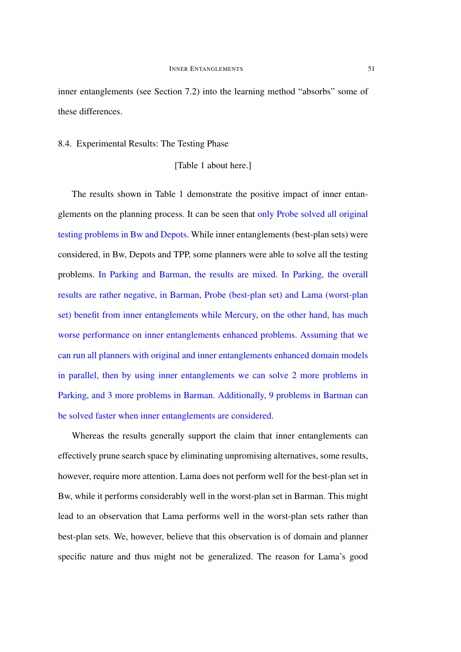inner entanglements (see Section 7.2) into the learning method "absorbs" some of these differences.

### 8.4. Experimental Results: The Testing Phase

### [Table 1 about here.]

The results shown in Table 1 demonstrate the positive impact of inner entanglements on the planning process. It can be seen that only Probe solved all original testing problems in Bw and Depots. While inner entanglements (best-plan sets) were considered, in Bw, Depots and TPP, some planners were able to solve all the testing problems. In Parking and Barman, the results are mixed. In Parking, the overall results are rather negative, in Barman, Probe (best-plan set) and Lama (worst-plan set) benefit from inner entanglements while Mercury, on the other hand, has much worse performance on inner entanglements enhanced problems. Assuming that we can run all planners with original and inner entanglements enhanced domain models in parallel, then by using inner entanglements we can solve 2 more problems in Parking, and 3 more problems in Barman. Additionally, 9 problems in Barman can be solved faster when inner entanglements are considered.

Whereas the results generally support the claim that inner entanglements can effectively prune search space by eliminating unpromising alternatives, some results, however, require more attention. Lama does not perform well for the best-plan set in Bw, while it performs considerably well in the worst-plan set in Barman. This might lead to an observation that Lama performs well in the worst-plan sets rather than best-plan sets. We, however, believe that this observation is of domain and planner specific nature and thus might not be generalized. The reason for Lama's good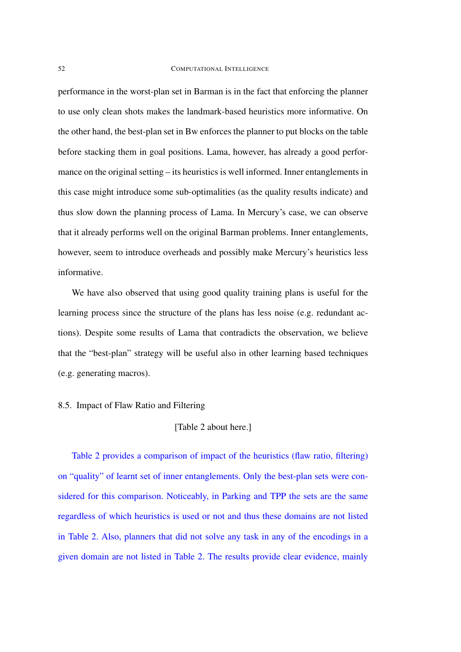### 52 COMPUTATIONAL INTELLIGENCE

performance in the worst-plan set in Barman is in the fact that enforcing the planner to use only clean shots makes the landmark-based heuristics more informative. On the other hand, the best-plan set in Bw enforces the planner to put blocks on the table before stacking them in goal positions. Lama, however, has already a good performance on the original setting – its heuristics is well informed. Inner entanglements in this case might introduce some sub-optimalities (as the quality results indicate) and thus slow down the planning process of Lama. In Mercury's case, we can observe that it already performs well on the original Barman problems. Inner entanglements, however, seem to introduce overheads and possibly make Mercury's heuristics less informative.

We have also observed that using good quality training plans is useful for the learning process since the structure of the plans has less noise (e.g. redundant actions). Despite some results of Lama that contradicts the observation, we believe that the "best-plan" strategy will be useful also in other learning based techniques (e.g. generating macros).

### 8.5. Impact of Flaw Ratio and Filtering

## [Table 2 about here.]

Table 2 provides a comparison of impact of the heuristics (flaw ratio, filtering) on "quality" of learnt set of inner entanglements. Only the best-plan sets were considered for this comparison. Noticeably, in Parking and TPP the sets are the same regardless of which heuristics is used or not and thus these domains are not listed in Table 2. Also, planners that did not solve any task in any of the encodings in a given domain are not listed in Table 2. The results provide clear evidence, mainly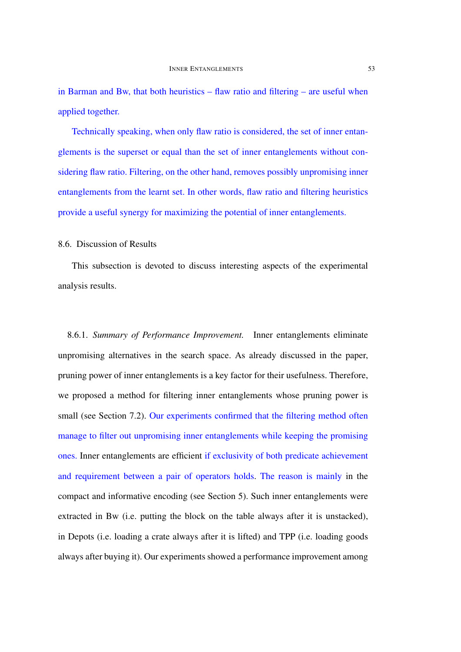in Barman and Bw, that both heuristics – flaw ratio and filtering – are useful when applied together.

Technically speaking, when only flaw ratio is considered, the set of inner entanglements is the superset or equal than the set of inner entanglements without considering flaw ratio. Filtering, on the other hand, removes possibly unpromising inner entanglements from the learnt set. In other words, flaw ratio and filtering heuristics provide a useful synergy for maximizing the potential of inner entanglements.

### 8.6. Discussion of Results

This subsection is devoted to discuss interesting aspects of the experimental analysis results.

8.6.1. *Summary of Performance Improvement.* Inner entanglements eliminate unpromising alternatives in the search space. As already discussed in the paper, pruning power of inner entanglements is a key factor for their usefulness. Therefore, we proposed a method for filtering inner entanglements whose pruning power is small (see Section 7.2). Our experiments confirmed that the filtering method often manage to filter out unpromising inner entanglements while keeping the promising ones. Inner entanglements are efficient if exclusivity of both predicate achievement and requirement between a pair of operators holds. The reason is mainly in the compact and informative encoding (see Section 5). Such inner entanglements were extracted in Bw (i.e. putting the block on the table always after it is unstacked), in Depots (i.e. loading a crate always after it is lifted) and TPP (i.e. loading goods always after buying it). Our experiments showed a performance improvement among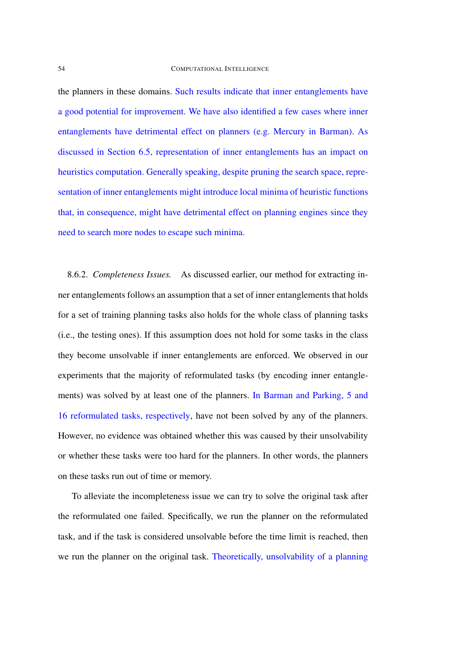the planners in these domains. Such results indicate that inner entanglements have a good potential for improvement. We have also identified a few cases where inner entanglements have detrimental effect on planners (e.g. Mercury in Barman). As discussed in Section 6.5, representation of inner entanglements has an impact on heuristics computation. Generally speaking, despite pruning the search space, representation of inner entanglements might introduce local minima of heuristic functions that, in consequence, might have detrimental effect on planning engines since they need to search more nodes to escape such minima.

8.6.2. *Completeness Issues.* As discussed earlier, our method for extracting inner entanglements follows an assumption that a set of inner entanglements that holds for a set of training planning tasks also holds for the whole class of planning tasks (i.e., the testing ones). If this assumption does not hold for some tasks in the class they become unsolvable if inner entanglements are enforced. We observed in our experiments that the majority of reformulated tasks (by encoding inner entanglements) was solved by at least one of the planners. In Barman and Parking, 5 and 16 reformulated tasks, respectively, have not been solved by any of the planners. However, no evidence was obtained whether this was caused by their unsolvability or whether these tasks were too hard for the planners. In other words, the planners on these tasks run out of time or memory.

To alleviate the incompleteness issue we can try to solve the original task after the reformulated one failed. Specifically, we run the planner on the reformulated task, and if the task is considered unsolvable before the time limit is reached, then we run the planner on the original task. Theoretically, unsolvability of a planning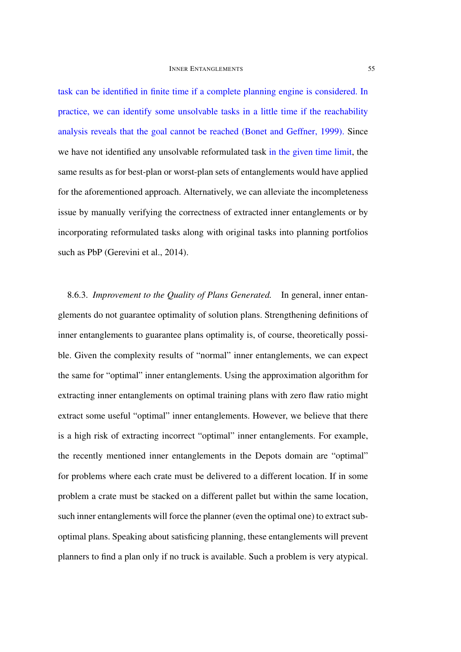task can be identified in finite time if a complete planning engine is considered. In practice, we can identify some unsolvable tasks in a little time if the reachability analysis reveals that the goal cannot be reached (Bonet and Geffner, 1999). Since we have not identified any unsolvable reformulated task in the given time limit, the same results as for best-plan or worst-plan sets of entanglements would have applied for the aforementioned approach. Alternatively, we can alleviate the incompleteness issue by manually verifying the correctness of extracted inner entanglements or by incorporating reformulated tasks along with original tasks into planning portfolios such as PbP (Gerevini et al., 2014).

8.6.3. *Improvement to the Quality of Plans Generated.* In general, inner entanglements do not guarantee optimality of solution plans. Strengthening definitions of inner entanglements to guarantee plans optimality is, of course, theoretically possible. Given the complexity results of "normal" inner entanglements, we can expect the same for "optimal" inner entanglements. Using the approximation algorithm for extracting inner entanglements on optimal training plans with zero flaw ratio might extract some useful "optimal" inner entanglements. However, we believe that there is a high risk of extracting incorrect "optimal" inner entanglements. For example, the recently mentioned inner entanglements in the Depots domain are "optimal" for problems where each crate must be delivered to a different location. If in some problem a crate must be stacked on a different pallet but within the same location, such inner entanglements will force the planner (even the optimal one) to extract suboptimal plans. Speaking about satisficing planning, these entanglements will prevent planners to find a plan only if no truck is available. Such a problem is very atypical.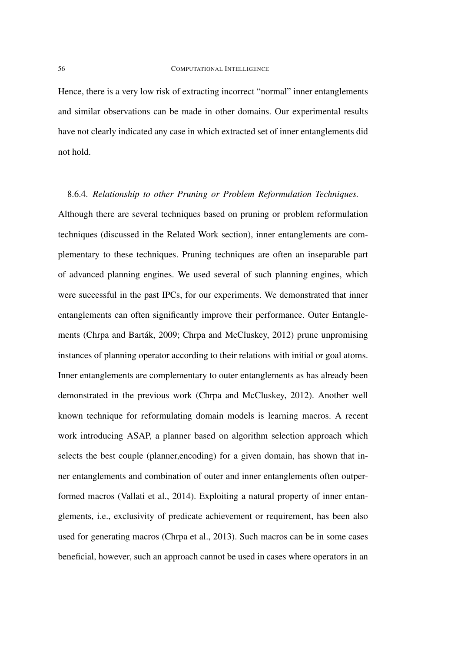Hence, there is a very low risk of extracting incorrect "normal" inner entanglements and similar observations can be made in other domains. Our experimental results have not clearly indicated any case in which extracted set of inner entanglements did not hold.

### 8.6.4. *Relationship to other Pruning or Problem Reformulation Techniques.*

Although there are several techniques based on pruning or problem reformulation techniques (discussed in the Related Work section), inner entanglements are complementary to these techniques. Pruning techniques are often an inseparable part of advanced planning engines. We used several of such planning engines, which were successful in the past IPCs, for our experiments. We demonstrated that inner entanglements can often significantly improve their performance. Outer Entanglements (Chrpa and Barták, 2009; Chrpa and McCluskey, 2012) prune unpromising instances of planning operator according to their relations with initial or goal atoms. Inner entanglements are complementary to outer entanglements as has already been demonstrated in the previous work (Chrpa and McCluskey, 2012). Another well known technique for reformulating domain models is learning macros. A recent work introducing ASAP, a planner based on algorithm selection approach which selects the best couple (planner,encoding) for a given domain, has shown that inner entanglements and combination of outer and inner entanglements often outperformed macros (Vallati et al., 2014). Exploiting a natural property of inner entanglements, i.e., exclusivity of predicate achievement or requirement, has been also used for generating macros (Chrpa et al., 2013). Such macros can be in some cases beneficial, however, such an approach cannot be used in cases where operators in an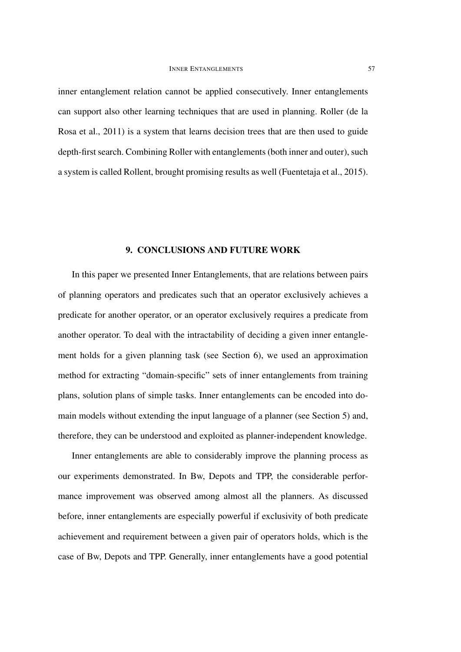inner entanglement relation cannot be applied consecutively. Inner entanglements can support also other learning techniques that are used in planning. Roller (de la Rosa et al., 2011) is a system that learns decision trees that are then used to guide depth-first search. Combining Roller with entanglements (both inner and outer), such a system is called Rollent, brought promising results as well (Fuentetaja et al., 2015).

### 9. CONCLUSIONS AND FUTURE WORK

In this paper we presented Inner Entanglements, that are relations between pairs of planning operators and predicates such that an operator exclusively achieves a predicate for another operator, or an operator exclusively requires a predicate from another operator. To deal with the intractability of deciding a given inner entanglement holds for a given planning task (see Section 6), we used an approximation method for extracting "domain-specific" sets of inner entanglements from training plans, solution plans of simple tasks. Inner entanglements can be encoded into domain models without extending the input language of a planner (see Section 5) and, therefore, they can be understood and exploited as planner-independent knowledge.

Inner entanglements are able to considerably improve the planning process as our experiments demonstrated. In Bw, Depots and TPP, the considerable performance improvement was observed among almost all the planners. As discussed before, inner entanglements are especially powerful if exclusivity of both predicate achievement and requirement between a given pair of operators holds, which is the case of Bw, Depots and TPP. Generally, inner entanglements have a good potential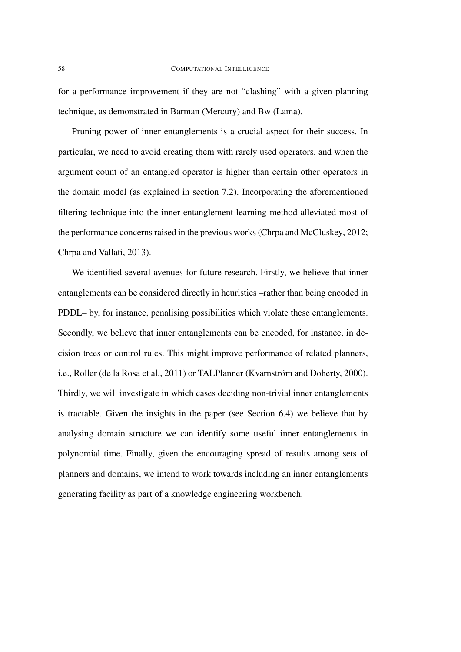for a performance improvement if they are not "clashing" with a given planning technique, as demonstrated in Barman (Mercury) and Bw (Lama).

Pruning power of inner entanglements is a crucial aspect for their success. In particular, we need to avoid creating them with rarely used operators, and when the argument count of an entangled operator is higher than certain other operators in the domain model (as explained in section 7.2). Incorporating the aforementioned filtering technique into the inner entanglement learning method alleviated most of the performance concerns raised in the previous works (Chrpa and McCluskey, 2012; Chrpa and Vallati, 2013).

We identified several avenues for future research. Firstly, we believe that inner entanglements can be considered directly in heuristics –rather than being encoded in PDDL– by, for instance, penalising possibilities which violate these entanglements. Secondly, we believe that inner entanglements can be encoded, for instance, in decision trees or control rules. This might improve performance of related planners, i.e., Roller (de la Rosa et al., 2011) or TALPlanner (Kvarnström and Doherty, 2000). Thirdly, we will investigate in which cases deciding non-trivial inner entanglements is tractable. Given the insights in the paper (see Section 6.4) we believe that by analysing domain structure we can identify some useful inner entanglements in polynomial time. Finally, given the encouraging spread of results among sets of planners and domains, we intend to work towards including an inner entanglements generating facility as part of a knowledge engineering workbench.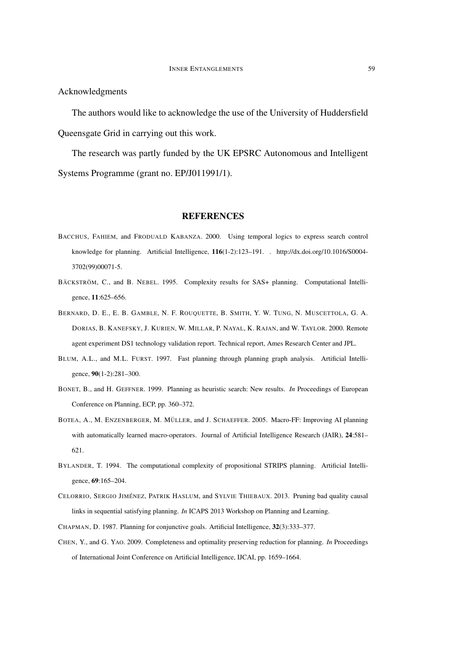Acknowledgments

The authors would like to acknowledge the use of the University of Huddersfield Queensgate Grid in carrying out this work.

The research was partly funded by the UK EPSRC Autonomous and Intelligent Systems Programme (grant no. EP/J011991/1).

### REFERENCES

- BACCHUS, FAHIEM, and FRODUALD KABANZA. 2000. Using temporal logics to express search control knowledge for planning. Artificial Intelligence, 116(1-2):123–191. . http://dx.doi.org/10.1016/S0004- 3702(99)00071-5.
- BÄCKSTRÖM, C., and B. NEBEL. 1995. Complexity results for SAS+ planning. Computational Intelligence, 11:625–656.
- BERNARD, D. E., E. B. GAMBLE, N. F. ROUQUETTE, B. SMITH, Y. W. TUNG, N. MUSCETTOLA, G. A. DORIAS, B. KANEFSKY, J. KURIEN, W. MILLAR, P. NAYAL, K. RAJAN, and W. TAYLOR. 2000. Remote agent experiment DS1 technology validation report. Technical report, Ames Research Center and JPL.
- BLUM, A.L., and M.L. FURST. 1997. Fast planning through planning graph analysis. Artificial Intelligence, 90(1-2):281–300.
- BONET, B., and H. GEFFNER. 1999. Planning as heuristic search: New results. *In* Proceedings of European Conference on Planning, ECP, pp. 360–372.
- BOTEA, A., M. ENZENBERGER, M. MÜLLER, and J. SCHAEFFER. 2005. Macro-FF: Improving AI planning with automatically learned macro-operators. Journal of Artificial Intelligence Research (JAIR), 24:581-621.
- BYLANDER, T. 1994. The computational complexity of propositional STRIPS planning. Artificial Intelligence, 69:165–204.
- CELORRIO, SERGIO JIMÉNEZ, PATRIK HASLUM, and SYLVIE THIEBAUX. 2013. Pruning bad quality causal links in sequential satisfying planning. *In* ICAPS 2013 Workshop on Planning and Learning.
- CHAPMAN, D. 1987. Planning for conjunctive goals. Artificial Intelligence, 32(3):333–377.
- CHEN, Y., and G. YAO. 2009. Completeness and optimality preserving reduction for planning. *In* Proceedings of International Joint Conference on Artificial Intelligence, IJCAI, pp. 1659–1664.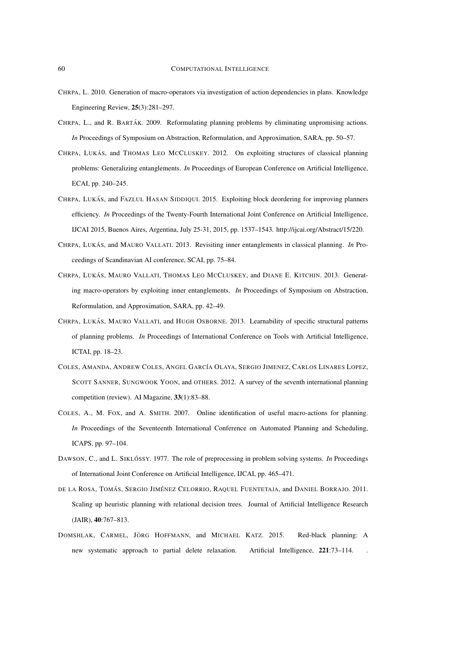- CHRPA, L. 2010. Generation of macro-operators via investigation of action dependencies in plans. Knowledge Engineering Review, 25(3):281–297.
- CHRPA, L., and R. BARTÁK. 2009. Reformulating planning problems by eliminating unpromising actions. *In* Proceedings of Symposium on Abstraction, Reformulation, and Approximation, SARA, pp. 50–57.
- CHRPA, LUKÁS, and THOMAS LEO MCCLUSKEY. 2012. On exploiting structures of classical planning problems: Generalizing entanglements. *In* Proceedings of European Conference on Artificial Intelligence, ECAI, pp. 240–245.
- CHRPA, LUKÁS, and FAZLUL HASAN SIDDIQUI. 2015. Exploiting block deordering for improving planners efficiency. *In* Proceedings of the Twenty-Fourth International Joint Conference on Artificial Intelligence, IJCAI 2015, Buenos Aires, Argentina, July 25-31, 2015, pp. 1537–1543. http://ijcai.org/Abstract/15/220.
- CHRPA, LUKÁS, and MAURO VALLATI. 2013. Revisiting inner entanglements in classical planning. *In* Proceedings of Scandinavian AI conference, SCAI, pp. 75–84.
- CHRPA, LUKÁS, MAURO VALLATI, THOMAS LEO MCCLUSKEY, and DIANE E. KITCHIN. 2013. Generating macro-operators by exploiting inner entanglements. *In* Proceedings of Symposium on Abstraction, Reformulation, and Approximation, SARA, pp. 42–49.
- CHRPA, LUKÁS, MAURO VALLATI, and HUGH OSBORNE. 2013. Learnability of specific structural patterns of planning problems. *In* Proceedings of International Conference on Tools with Artificial Intelligence, ICTAI, pp. 18–23.
- COLES, AMANDA, ANDREW COLES, ANGEL GARC´IA OLAYA, SERGIO JIMENEZ, CARLOS LINARES LOPEZ, SCOTT SANNER, SUNGWOOK YOON, and OTHERS. 2012. A survey of the seventh international planning competition (review). AI Magazine, 33(1):83–88.
- COLES, A., M. FOX, and A. SMITH. 2007. Online identification of useful macro-actions for planning. *In* Proceedings of the Seventeenth International Conference on Automated Planning and Scheduling, ICAPS, pp. 97–104.
- DAWSON, C., and L. SIKLÓSSY. 1977. The role of preprocessing in problem solving systems. *In* Proceedings of International Joint Conference on Artificial Intelligence, IJCAI, pp. 465–471.
- DE LA ROSA, TOMÁS, SERGIO JIMÉNEZ CELORRIO, RAQUEL FUENTETAJA, and DANIEL BORRAJO. 2011. Scaling up heuristic planning with relational decision trees. Journal of Artificial Intelligence Research (JAIR), 40:767–813.
- DOMSHLAK, CARMEL, JÖRG HOFFMANN, and MICHAEL KATZ. 2015. Red-black planning: A new systematic approach to partial delete relaxation. Artificial Intelligence, 221:73-114.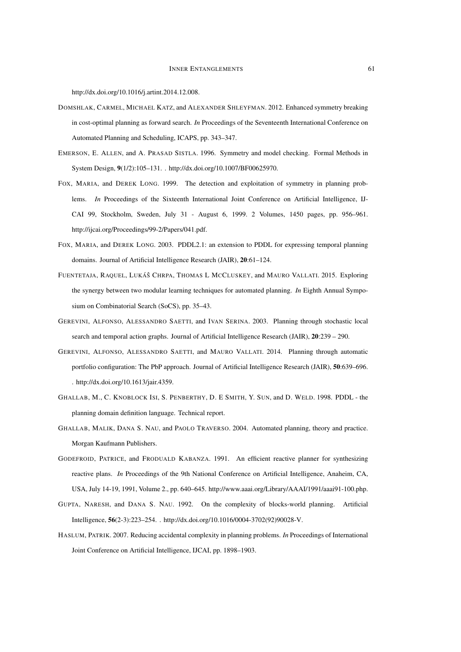http://dx.doi.org/10.1016/j.artint.2014.12.008.

- DOMSHLAK, CARMEL, MICHAEL KATZ, and ALEXANDER SHLEYFMAN. 2012. Enhanced symmetry breaking in cost-optimal planning as forward search. *In* Proceedings of the Seventeenth International Conference on Automated Planning and Scheduling, ICAPS, pp. 343–347.
- EMERSON, E. ALLEN, and A. PRASAD SISTLA. 1996. Symmetry and model checking. Formal Methods in System Design, 9(1/2):105–131. . http://dx.doi.org/10.1007/BF00625970.
- FOX, MARIA, and DEREK LONG. 1999. The detection and exploitation of symmetry in planning problems. *In* Proceedings of the Sixteenth International Joint Conference on Artificial Intelligence, IJ-CAI 99, Stockholm, Sweden, July 31 - August 6, 1999. 2 Volumes, 1450 pages, pp. 956–961. http://ijcai.org/Proceedings/99-2/Papers/041.pdf.
- FOX, MARIA, and DEREK LONG. 2003. PDDL2.1: an extension to PDDL for expressing temporal planning domains. Journal of Artificial Intelligence Research (JAIR), 20:61–124.
- FUENTETAJA, RAQUEL, LUKÁŜ CHRPA, THOMAS L MCCLUSKEY, and MAURO VALLATI. 2015. Exploring the synergy between two modular learning techniques for automated planning. *In* Eighth Annual Symposium on Combinatorial Search (SoCS), pp. 35–43.
- GEREVINI, ALFONSO, ALESSANDRO SAETTI, and IVAN SERINA. 2003. Planning through stochastic local search and temporal action graphs. Journal of Artificial Intelligence Research (JAIR), 20:239 – 290.
- GEREVINI, ALFONSO, ALESSANDRO SAETTI, and MAURO VALLATI. 2014. Planning through automatic portfolio configuration: The PbP approach. Journal of Artificial Intelligence Research (JAIR), 50:639–696. . http://dx.doi.org/10.1613/jair.4359.
- GHALLAB, M., C. KNOBLOCK ISI, S. PENBERTHY, D. E SMITH, Y. SUN, and D. WELD. 1998. PDDL the planning domain definition language. Technical report.
- GHALLAB, MALIK, DANA S. NAU, and PAOLO TRAVERSO. 2004. Automated planning, theory and practice. Morgan Kaufmann Publishers.
- GODEFROID, PATRICE, and FRODUALD KABANZA. 1991. An efficient reactive planner for synthesizing reactive plans. *In* Proceedings of the 9th National Conference on Artificial Intelligence, Anaheim, CA, USA, July 14-19, 1991, Volume 2., pp. 640–645. http://www.aaai.org/Library/AAAI/1991/aaai91-100.php.
- GUPTA, NARESH, and DANA S. NAU. 1992. On the complexity of blocks-world planning. Artificial Intelligence, 56(2-3):223–254. . http://dx.doi.org/10.1016/0004-3702(92)90028-V.
- HASLUM, PATRIK. 2007. Reducing accidental complexity in planning problems. *In* Proceedings of International Joint Conference on Artificial Intelligence, IJCAI, pp. 1898–1903.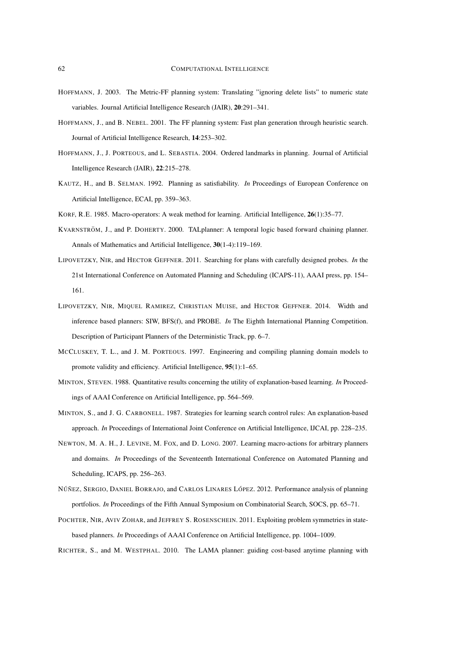- HOFFMANN, J. 2003. The Metric-FF planning system: Translating "ignoring delete lists" to numeric state variables. Journal Artificial Intelligence Research (JAIR), 20:291–341.
- HOFFMANN, J., and B. NEBEL. 2001. The FF planning system: Fast plan generation through heuristic search. Journal of Artificial Intelligence Research, 14:253–302.
- HOFFMANN, J., J. PORTEOUS, and L. SEBASTIA. 2004. Ordered landmarks in planning. Journal of Artificial Intelligence Research (JAIR), 22:215–278.
- KAUTZ, H., and B. SELMAN. 1992. Planning as satisfiability. *In* Proceedings of European Conference on Artificial Intelligence, ECAI, pp. 359–363.
- KORF, R.E. 1985. Macro-operators: A weak method for learning. Artificial Intelligence, 26(1):35–77.
- KVARNSTRÖM, J., and P. DOHERTY. 2000. TALplanner: A temporal logic based forward chaining planner. Annals of Mathematics and Artificial Intelligence, 30(1-4):119–169.
- LIPOVETZKY, NIR, and HECTOR GEFFNER. 2011. Searching for plans with carefully designed probes. *In* the 21st International Conference on Automated Planning and Scheduling (ICAPS-11), AAAI press, pp. 154– 161.
- LIPOVETZKY, NIR, MIQUEL RAMIREZ, CHRISTIAN MUISE, and HECTOR GEFFNER. 2014. Width and inference based planners: SIW, BFS(f), and PROBE. *In* The Eighth International Planning Competition. Description of Participant Planners of the Deterministic Track, pp. 6–7.
- MCCLUSKEY, T. L., and J. M. PORTEOUS. 1997. Engineering and compiling planning domain models to promote validity and efficiency. Artificial Intelligence, 95(1):1–65.
- MINTON, STEVEN. 1988. Quantitative results concerning the utility of explanation-based learning. *In* Proceedings of AAAI Conference on Artificial Intelligence, pp. 564–569.
- MINTON, S., and J. G. CARBONELL. 1987. Strategies for learning search control rules: An explanation-based approach. *In* Proceedings of International Joint Conference on Artificial Intelligence, IJCAI, pp. 228–235.
- NEWTON, M. A. H., J. LEVINE, M. FOX, and D. LONG. 2007. Learning macro-actions for arbitrary planners and domains. *In* Proceedings of the Seventeenth International Conference on Automated Planning and Scheduling, ICAPS, pp. 256–263.
- NÚÑEZ, SERGIO, DANIEL BORRAJO, and CARLOS LINARES LÓPEZ. 2012. Performance analysis of planning portfolios. *In* Proceedings of the Fifth Annual Symposium on Combinatorial Search, SOCS, pp. 65–71.
- POCHTER, NIR, AVIV ZOHAR, and JEFFREY S. ROSENSCHEIN. 2011. Exploiting problem symmetries in statebased planners. *In* Proceedings of AAAI Conference on Artificial Intelligence, pp. 1004–1009.
- RICHTER, S., and M. WESTPHAL. 2010. The LAMA planner: guiding cost-based anytime planning with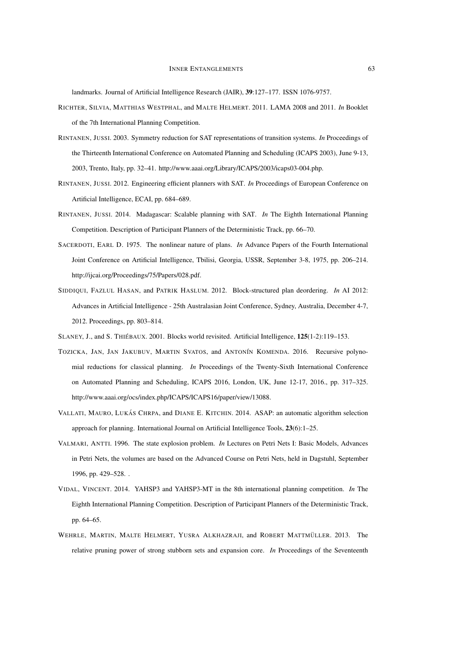landmarks. Journal of Artificial Intelligence Research (JAIR), 39:127–177. ISSN 1076-9757.

- RICHTER, SILVIA, MATTHIAS WESTPHAL, and MALTE HELMERT. 2011. LAMA 2008 and 2011. *In* Booklet of the 7th International Planning Competition.
- RINTANEN, JUSSI. 2003. Symmetry reduction for SAT representations of transition systems. *In* Proceedings of the Thirteenth International Conference on Automated Planning and Scheduling (ICAPS 2003), June 9-13, 2003, Trento, Italy, pp. 32–41. http://www.aaai.org/Library/ICAPS/2003/icaps03-004.php.
- RINTANEN, JUSSI. 2012. Engineering efficient planners with SAT. *In* Proceedings of European Conference on Artificial Intelligence, ECAI, pp. 684–689.
- RINTANEN, JUSSI. 2014. Madagascar: Scalable planning with SAT. *In* The Eighth International Planning Competition. Description of Participant Planners of the Deterministic Track, pp. 66–70.
- SACERDOTI, EARL D. 1975. The nonlinear nature of plans. *In* Advance Papers of the Fourth International Joint Conference on Artificial Intelligence, Tbilisi, Georgia, USSR, September 3-8, 1975, pp. 206–214. http://ijcai.org/Proceedings/75/Papers/028.pdf.
- SIDDIQUI, FAZLUL HASAN, and PATRIK HASLUM. 2012. Block-structured plan deordering. *In* AI 2012: Advances in Artificial Intelligence - 25th Australasian Joint Conference, Sydney, Australia, December 4-7, 2012. Proceedings, pp. 803–814.
- SLANEY, J., and S. THIÉBAUX. 2001. Blocks world revisited. Artificial Intelligence, 125(1-2):119–153.
- TOZICKA, JAN, JAN JAKUBUV, MARTIN SVATOS, and ANTONÍN KOMENDA. 2016. Recursive polynomial reductions for classical planning. *In* Proceedings of the Twenty-Sixth International Conference on Automated Planning and Scheduling, ICAPS 2016, London, UK, June 12-17, 2016., pp. 317–325. http://www.aaai.org/ocs/index.php/ICAPS/ICAPS16/paper/view/13088.
- VALLATI, MAURO, LUKÁS CHRPA, and DIANE E. KITCHIN. 2014. ASAP: an automatic algorithm selection approach for planning. International Journal on Artificial Intelligence Tools, 23(6):1–25.
- VALMARI, ANTTI. 1996. The state explosion problem. *In* Lectures on Petri Nets I: Basic Models, Advances in Petri Nets, the volumes are based on the Advanced Course on Petri Nets, held in Dagstuhl, September 1996, pp. 429–528. .
- VIDAL, VINCENT. 2014. YAHSP3 and YAHSP3-MT in the 8th international planning competition. *In* The Eighth International Planning Competition. Description of Participant Planners of the Deterministic Track, pp. 64–65.
- WEHRLE, MARTIN, MALTE HELMERT, YUSRA ALKHAZRAJI, and ROBERT MATTMÜLLER. 2013. The relative pruning power of strong stubborn sets and expansion core. *In* Proceedings of the Seventeenth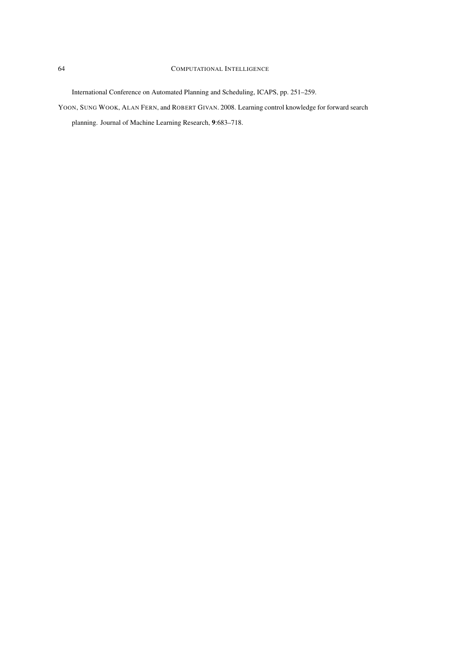### 64 COMPUTATIONAL INTELLIGENCE

International Conference on Automated Planning and Scheduling, ICAPS, pp. 251–259.

YOON, SUNG WOOK, ALAN FERN, and ROBERT GIVAN. 2008. Learning control knowledge for forward search

planning. Journal of Machine Learning Research, 9:683–718.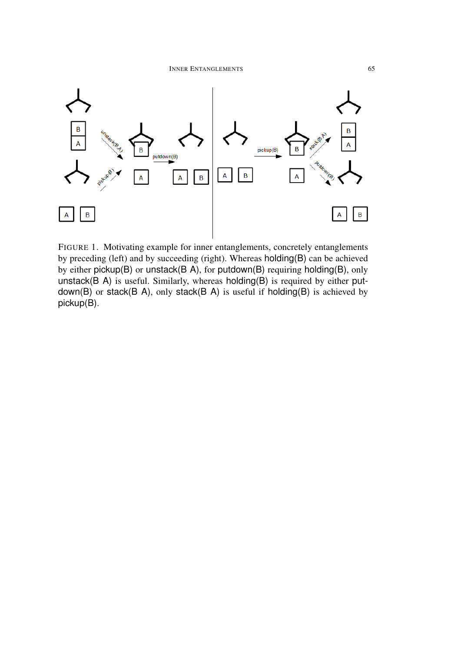

FIGURE 1. Motivating example for inner entanglements, concretely entanglements by preceding (left) and by succeeding (right). Whereas holding(B) can be achieved by either pickup(B) or unstack(B A), for putdown(B) requiring holding(B), only unstack( $B$  A) is useful. Similarly, whereas holding( $B$ ) is required by either putdown(B) or stack(B A), only stack(B A) is useful if holding(B) is achieved by pickup(B).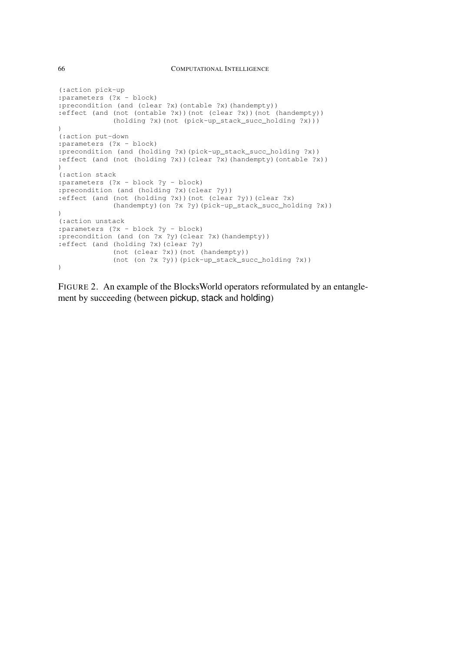```
(:action pick-up
:parameters (?x - block)
:precondition (and (clear ?x)(ontable ?x)(handempty))
:effect (and (not (ontable ?x))(not (clear ?x))(not (handempty))
             (holding ?x)(not (pick-up_stack_succ_holding ?x)))
)
(:action put-down
:parameters (?x - block)
:precondition (and (holding ?x)(pick-up_stack_succ_holding ?x))
:effect (and (not (holding ?x))(clear ?x)(handempty)(ontable ?x))
\lambda(:action stack
:parameters (?x - block ?y - block)
:precondition (and (holding ?x)(clear ?y))
:effect (and (not (holding ?x))(not (clear ?y))(clear ?x)
             (handempty)(on ?x ?y)(pick-up_stack_succ_holding ?x))
)
(:action unstack
:parameters (?x - block ?y - block)
:precondition (and (on ?x ?y)(clear ?x)(handempty))
:effect (and (holding ?x)(clear ?y)
             (not (clear ?x))(not (handempty))
             (not (on ?x ?y))(pick-up_stack_succ_holding ?x))
)
```
FIGURE 2. An example of the BlocksWorld operators reformulated by an entanglement by succeeding (between pickup, stack and holding)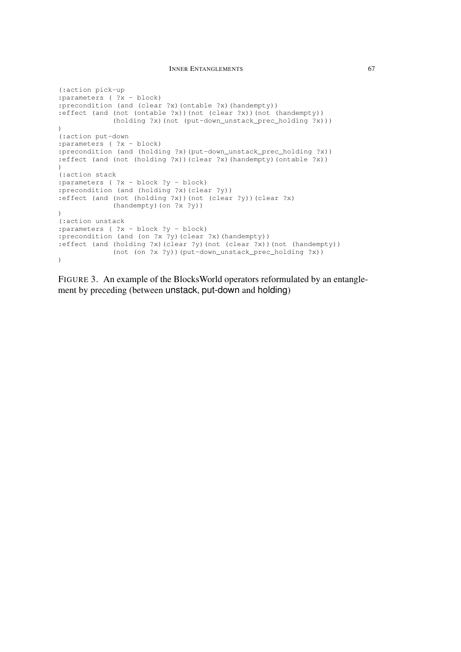#### **INNER ENTANGLEMENTS** 67

```
(:action pick-up
:parameters ( ?x - block)
:precondition (and (clear ?x)(ontable ?x)(handempty))
:effect (and (not (ontable ?x))(not (clear ?x))(not (handempty))
             (holding ?x)(not (put-down_unstack_prec_holding ?x)))
)
(:action put-down
:parameters ( ?x - block)
:precondition (and (holding ?x)(put-down_unstack_prec_holding ?x))
:effect (and (not (holding ?x))(clear ?x)(handempty)(ontable ?x))
\lambda(:action stack
:parameters ( ?x - block ?y - block)
:precondition (and (holding ?x)(clear ?y))
:effect (and (not (holding ?x))(not (clear ?y))(clear ?x)
             (handempty)(on ?x ?y))
)
(:action unstack
:parameters ( ?x - block ?y - block)
:precondition (and (on ?x ?y)(clear ?x)(handempty))
:effect (and (holding ?x)(clear ?y)(not (clear ?x))(not (handempty))
             (not (on ?x ?y))(put-down_unstack_prec_holding ?x))
)
```
FIGURE 3. An example of the BlocksWorld operators reformulated by an entanglement by preceding (between unstack, put-down and holding)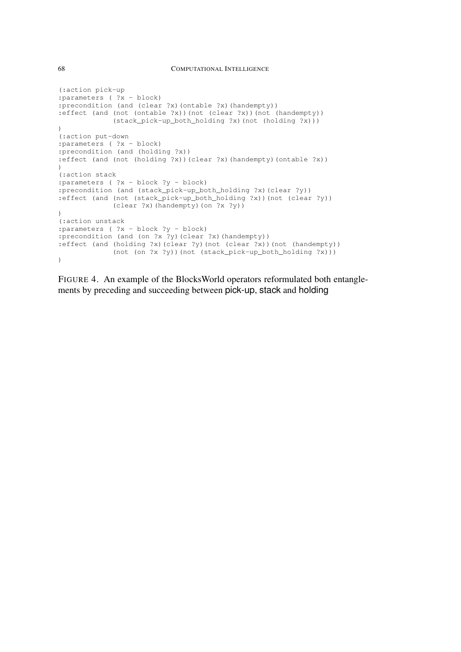```
(:action pick-up
:parameters ( ?x - block)
:precondition (and (clear ?x)(ontable ?x)(handempty))
:effect (and (not (ontable ?x))(not (clear ?x))(not (handempty))
             (stack_pick-up_both_holding ?x)(not (holding ?x)))
)
(:action put-down
:parameters ( ?x - block)
:precondition (and (holding ?x))
:effect (and (not (holding ?x))(clear ?x)(handempty)(ontable ?x))
\lambda(:action stack
:parameters ( ?x - block ?y - block)
:precondition (and (stack_pick-up_both_holding ?x)(clear ?y))
:effect (and (not (stack_pick-up_both_holding ?x))(not (clear ?y))
             (clear ?x)(handempty)(on ?x ?y))
)
(:action unstack
:parameters ( ?x - block ?y - block)
:precondition (and (on ?x ?y)(clear ?x)(handempty))
:effect (and (holding ?x)(clear ?y)(not (clear ?x))(not (handempty))
             (not (on ?x ?y))(not (stack_pick-up_both_holding ?x)))
)
```
FIGURE 4. An example of the BlocksWorld operators reformulated both entanglements by preceding and succeeding between pick-up, stack and holding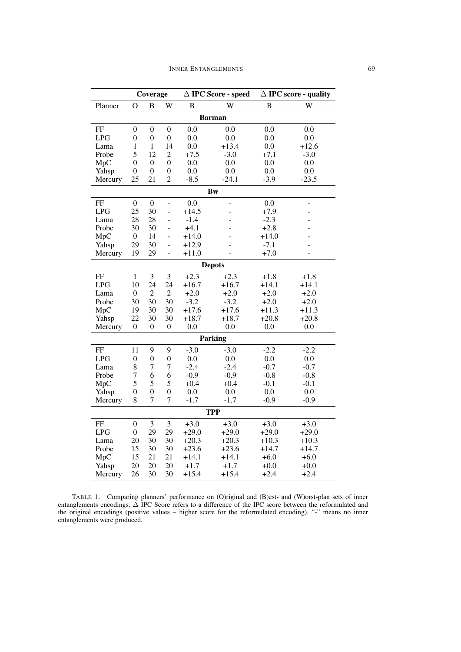|                | Coverage         |                  |                  |                    | $\Delta$ IPC Score - speed | $\Delta$ IPC score - quality |                |  |  |
|----------------|------------------|------------------|------------------|--------------------|----------------------------|------------------------------|----------------|--|--|
| Planner        | O                | W<br>B           |                  | B<br>W             |                            | B                            | W              |  |  |
| <b>Barman</b>  |                  |                  |                  |                    |                            |                              |                |  |  |
| FF             | $\theta$         | $\overline{0}$   | $\overline{0}$   | 0.0                | 0.0                        | 0.0                          | 0.0            |  |  |
| <b>LPG</b>     | 0                | $\boldsymbol{0}$ | $\boldsymbol{0}$ | 0.0                | 0.0                        | 0.0                          | 0.0            |  |  |
| Lama           | 1                | 1                | 14               | 0.0                | $+13.4$                    | 0.0                          | $+12.6$        |  |  |
| Probe          | 5                | 12               | $\overline{2}$   | $+7.5$             | $-3.0$                     | $+7.1$                       | $-3.0$<br>0.0  |  |  |
| MpC            | $\overline{0}$   | $\overline{0}$   | $\overline{0}$   | 0.0                |                            | 0.0<br>0.0                   |                |  |  |
| Yahsp          | $\theta$         | $\theta$         | $\overline{0}$   | 0.0<br>0.0         |                            | 0.0                          | 0.0            |  |  |
| Mercury        | 25               | 21               | $\overline{2}$   | $-24.1$<br>$-8.5$  |                            | $-3.9$                       | $-23.5$        |  |  |
| Bw             |                  |                  |                  |                    |                            |                              |                |  |  |
| FF             | $\boldsymbol{0}$ | $\boldsymbol{0}$ | ÷,               | 0.0                | -                          | 0.0                          | -              |  |  |
| <b>LPG</b>     | 25               | 30               | $\frac{1}{2}$    | $+14.5$            | $\overline{a}$             | $+7.9$                       | ÷,             |  |  |
| Lama           | 28               | 28               | $\overline{a}$   | $-1.4$             |                            | $-2.3$                       |                |  |  |
| Probe          | 30               | 30               | $\overline{a}$   | $+4.1$             |                            | $+2.8$                       |                |  |  |
| MpC            | $\boldsymbol{0}$ | 14               | L,               | $+14.0$            |                            | $+14.0$                      |                |  |  |
| Yahsp          | 29               | 30               |                  | $+12.9$            |                            | $-7.1$                       |                |  |  |
| Mercury        | 19               | 29               | $\overline{a}$   | $+11.0$            | L,                         | $+7.0$                       | $\overline{a}$ |  |  |
| <b>Depots</b>  |                  |                  |                  |                    |                            |                              |                |  |  |
| FF             | $\mathbf{1}$     | 3                | 3                | $+2.3$             | $+2.3$                     | $+1.8$                       | $+1.8$         |  |  |
| LPG            | 10               | 24               | 24               | $+16.7$            | $+16.7$                    | $+14.1$                      | $+14.1$        |  |  |
| Lama           | $\overline{0}$   | $\overline{2}$   | $\overline{2}$   | $+2.0$             | $+2.0$                     | $+2.0$                       | $+2.0$         |  |  |
| Probe          | 30               | 30               | 30               | $-3.2$             | $-3.2$                     | $+2.0$                       | $+2.0$         |  |  |
| MpC            | 19               | 30               | 30               | $+17.6$            | $+17.6$                    | $+11.3$                      | $+11.3$        |  |  |
| Yahsp          | 22               | 30               | 30               | $+18.7$<br>$+18.7$ |                            | $+20.8$                      | $+20.8$        |  |  |
| Mercury        | $\boldsymbol{0}$ | 0                | $\theta$         | 0.0<br>0.0         |                            | 0.0                          | 0.0            |  |  |
| <b>Parking</b> |                  |                  |                  |                    |                            |                              |                |  |  |
| FF             | 11               | 9                | 9                | $-3.0$             | $-3.0$                     | $-2.2$                       | $-2.2$         |  |  |
| <b>LPG</b>     | $\overline{0}$   | $\boldsymbol{0}$ | $\boldsymbol{0}$ | 0.0                | 0.0                        | 0.0                          | 0.0            |  |  |
| Lama           | 8                | 7                | $\overline{7}$   | $-2.4$             | $-2.4$                     | $-0.7$                       | $-0.7$         |  |  |
| Probe          | $\overline{7}$   | 6                | 6                | $-0.9$             | $-0.9$                     | $-0.8$                       | $-0.8$         |  |  |
| MpC            | 5                | 5                | 5                | $+0.4$             | $+0.4$                     | $-0.1$                       | $-0.1$         |  |  |
| Yahsp          | 0                | $\overline{0}$   | $\boldsymbol{0}$ | 0.0                | 0.0                        | 0.0                          | 0.0            |  |  |
| Mercury        | 8                | $\overline{7}$   | 7                | $-1.7$             | $-1.7$                     | $-0.9$                       | $-0.9$         |  |  |
| <b>TPP</b>     |                  |                  |                  |                    |                            |                              |                |  |  |
| FF             | $\overline{0}$   | 3                | 3                | $+3.0$             | $+3.0$                     | $+3.0$                       | $+3.0$         |  |  |
| <b>LPG</b>     | $\overline{0}$   | 29               | 29               | $+29.0$            | $+29.0$                    | $+29.0$                      | $+29.0$        |  |  |
| Lama           | 20               | 30               | 30               | $+20.3$            | $+20.3$                    | $+10.3$                      | $+10.3$        |  |  |
| Probe          | 15               | 30               | 30               | $+23.6$            | $+23.6$                    | $+14.7$                      | $+14.7$        |  |  |
| MpC            | 15               | 21               | 21               | $+14.1$            | $+14.1$                    | $+6.0$                       | $+6.0$         |  |  |
| Yahsp          | 20               | 20               | 20               | $+1.7$             | $+1.7$                     | $+0.0$                       | $+0.0$         |  |  |
| Mercury        | 26               | 30               | 30               | $+15.4$            | $+15.4$                    | $+2.4$                       | $+2.4$         |  |  |

TABLE 1. Comparing planners' performance on (O)riginal and (B)est- and (W)orst-plan sets of inner entanglements encodings. ∆ IPC Score refers to a difference of the IPC score between the reformulated and the original encodings (positive values – higher score for the reformulated encoding). "-" means no inner entanglements were produced.